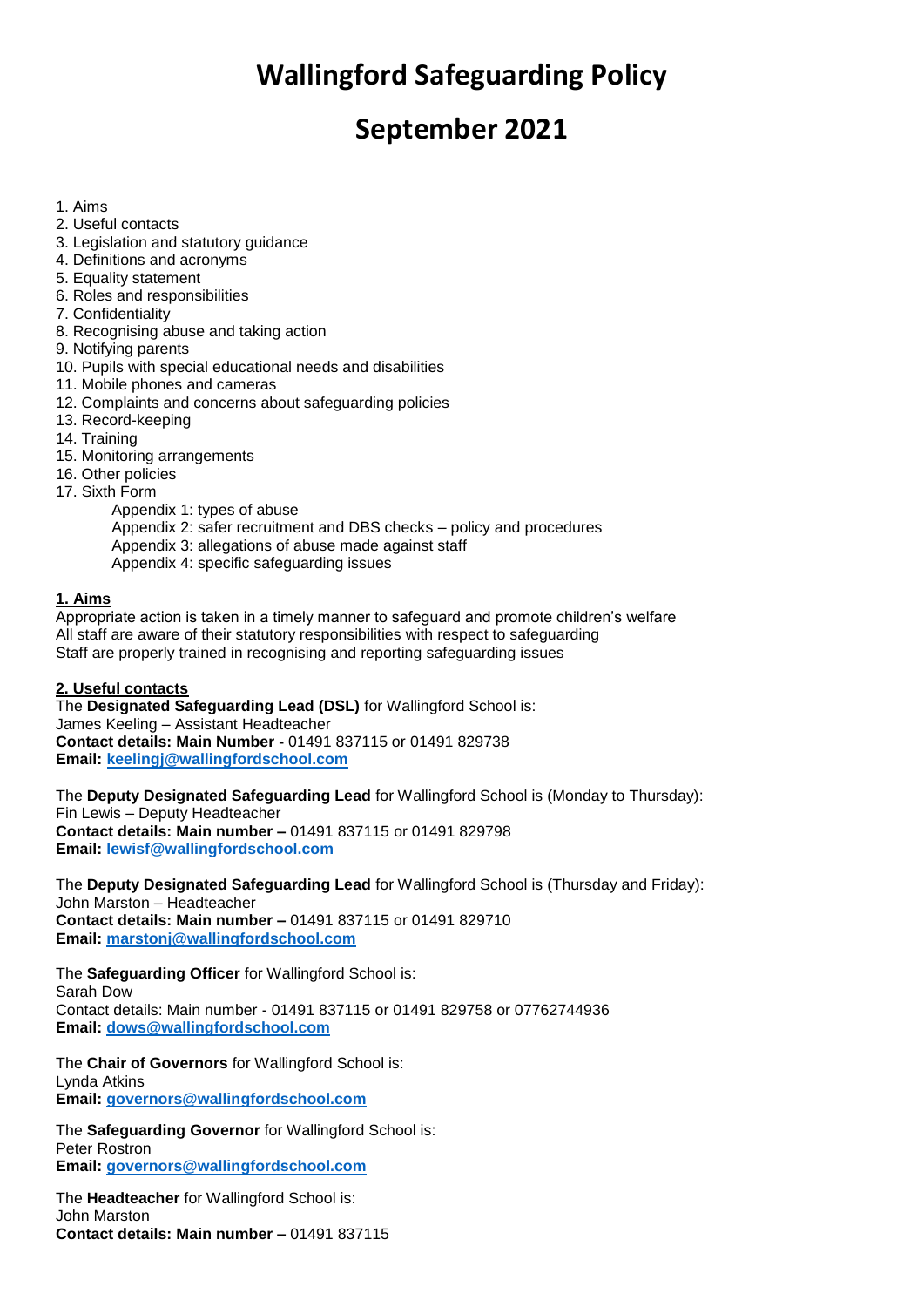# **Wallingford Safeguarding Policy**

# **September 2021**

- 1. Aims
- 2. Useful contacts
- 3. Legislation and statutory guidance
- 4. Definitions and acronyms
- 5. Equality statement
- 6. Roles and responsibilities
- 7. Confidentiality
- 8. Recognising abuse and taking action
- 9. Notifying parents
- 10. Pupils with special educational needs and disabilities
- 11. Mobile phones and cameras
- 12. Complaints and concerns about safeguarding policies
- 13. Record-keeping
- 14. Training
- 15. Monitoring arrangements
- 16. Other policies
- 17. Sixth Form
	- Appendix 1: types of abuse Appendix 2: safer recruitment and DBS checks – policy and procedures Appendix 3: allegations of abuse made against staff Appendix 4: specific safeguarding issues

# **1. Aims**

Appropriate action is taken in a timely manner to safeguard and promote children's welfare All staff are aware of their statutory responsibilities with respect to safeguarding Staff are properly trained in recognising and reporting safeguarding issues

# **2. Useful contacts**

The **Designated Safeguarding Lead (DSL)** for Wallingford School is: James Keeling – Assistant Headteacher **Contact details: Main Number -** 01491 837115 or 01491 829738 **Email: [keelingj@wallingfordschool.com](mailto:keelingj@wallingfordschool.com)**

The **Deputy Designated Safeguarding Lead** for Wallingford School is (Monday to Thursday): Fin Lewis – Deputy Headteacher **Contact details: Main number –** 01491 837115 or 01491 829798 **Email: [lewisf@wallingfordschool.com](mailto:lewisf@wallingfordschool.com)**

The **Deputy Designated Safeguarding Lead** for Wallingford School is (Thursday and Friday): John Marston – Headteacher **Contact details: Main number –** 01491 837115 or 01491 829710 **Email: [marstonj@wallingfordschool.com](mailto:marstonj@wallingfordschool.com)**

The **Safeguarding Officer** for Wallingford School is: Sarah Dow Contact details: Main number - 01491 837115 or 01491 829758 or 07762744936 **Email: [dows@wallingfordschool.com](mailto:dows@wallingfordschool.com)**

The **Chair of Governors** for Wallingford School is: Lynda Atkins **Email: [governors@wallingfordschool.com](mailto:governors@wallingfordschool.com)**

The **Safeguarding Governor** for Wallingford School is: Peter Rostron **Email: [governors@wallingfordschool.com](mailto:governors@wallingfordschool.com)**

The **Headteacher** for Wallingford School is: John Marston **Contact details: Main number –** 01491 837115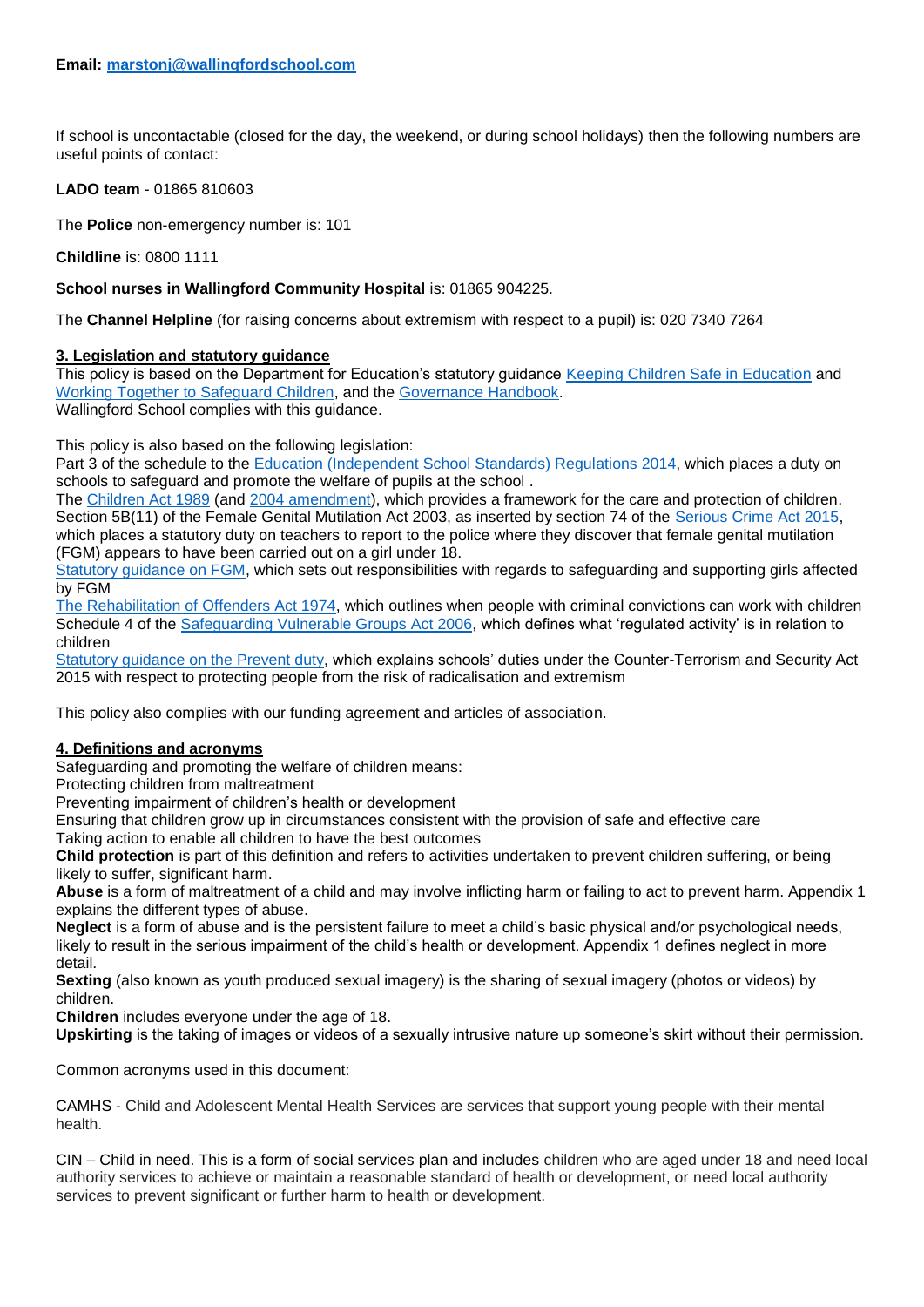If school is uncontactable (closed for the day, the weekend, or during school holidays) then the following numbers are useful points of contact:

# **LADO team** - 01865 810603

The **Police** non-emergency number is: 101

**Childline** is: 0800 1111

# **School nurses in Wallingford Community Hospital** is: 01865 904225.

The **Channel Helpline** (for raising concerns about extremism with respect to a pupil) is: 020 7340 7264

# **3. Legislation and statutory guidance**

This policy is based on the Department for Education's statutory guidance [Keeping Children Safe in Education](https://www.gov.uk/government/publications/keeping-children-safe-in-education--2) and [Working Together to Safeguard Children,](https://www.gov.uk/government/publications/working-together-to-safeguard-children--2) and the [Governance Handbook.](https://www.gov.uk/government/publications/governance-handbook) Wallingford School complies with this guidance.

This policy is also based on the following legislation:

Part 3 of the schedule to the [Education \(Independent School Standards\) Regulations 2014,](http://www.legislation.gov.uk/uksi/2014/3283/schedule/part/3/made) which places a duty on schools to safeguard and promote the welfare of pupils at the school .

The [Children Act 1989](http://www.legislation.gov.uk/ukpga/1989/41) (and [2004 amendment\)](http://www.legislation.gov.uk/ukpga/2004/31/contents), which provides a framework for the care and protection of children. Section 5B(11) of the Female Genital Mutilation Act 2003, as inserted by section 74 of the [Serious Crime Act 2015,](https://www.legislation.gov.uk/ukpga/2015/9/part/5/crossheading/female-genital-mutilation) which places a statutory duty on teachers to report to the police where they discover that female genital mutilation (FGM) appears to have been carried out on a girl under 18.

[Statutory guidance on FGM,](https://www.gov.uk/government/publications/multi-agency-statutory-guidance-on-female-genital-mutilation) which sets out responsibilities with regards to safeguarding and supporting girls affected by FGM

[The Rehabilitation of Offenders Act 1974,](https://www.legislation.gov.uk/ukpga/1974/53) which outlines when people with criminal convictions can work with children Schedule 4 of the [Safeguarding Vulnerable Groups Act 2006,](https://www.legislation.gov.uk/ukpga/2006/47/schedule/4) which defines what 'regulated activity' is in relation to children

[Statutory guidance on the](https://www.gov.uk/government/publications/prevent-duty-guidance) Prevent duty, which explains schools' duties under the Counter-Terrorism and Security Act 2015 with respect to protecting people from the risk of radicalisation and extremism

This policy also complies with our funding agreement and articles of association.

# **4. Definitions and acronyms**

Safeguarding and promoting the welfare of children means:

Protecting children from maltreatment

Preventing impairment of children's health or development

Ensuring that children grow up in circumstances consistent with the provision of safe and effective care Taking action to enable all children to have the best outcomes

**Child protection** is part of this definition and refers to activities undertaken to prevent children suffering, or being likely to suffer, significant harm.

**Abuse** is a form of maltreatment of a child and may involve inflicting harm or failing to act to prevent harm. Appendix 1 explains the different types of abuse.

**Neglect** is a form of abuse and is the persistent failure to meet a child's basic physical and/or psychological needs, likely to result in the serious impairment of the child's health or development. Appendix 1 defines neglect in more detail.

**Sexting** (also known as youth produced sexual imagery) is the sharing of sexual imagery (photos or videos) by children.

**Children** includes everyone under the age of 18.

**Upskirting** is the taking of images or videos of a sexually intrusive nature up someone's skirt without their permission.

Common acronyms used in this document:

CAMHS - Child and Adolescent Mental Health Services are services that support young people with their mental health.

CIN – Child in need. This is a form of social services plan and includes children who are aged under 18 and need local authority services to achieve or maintain a reasonable standard of health or development, or need local authority services to prevent significant or further harm to health or development.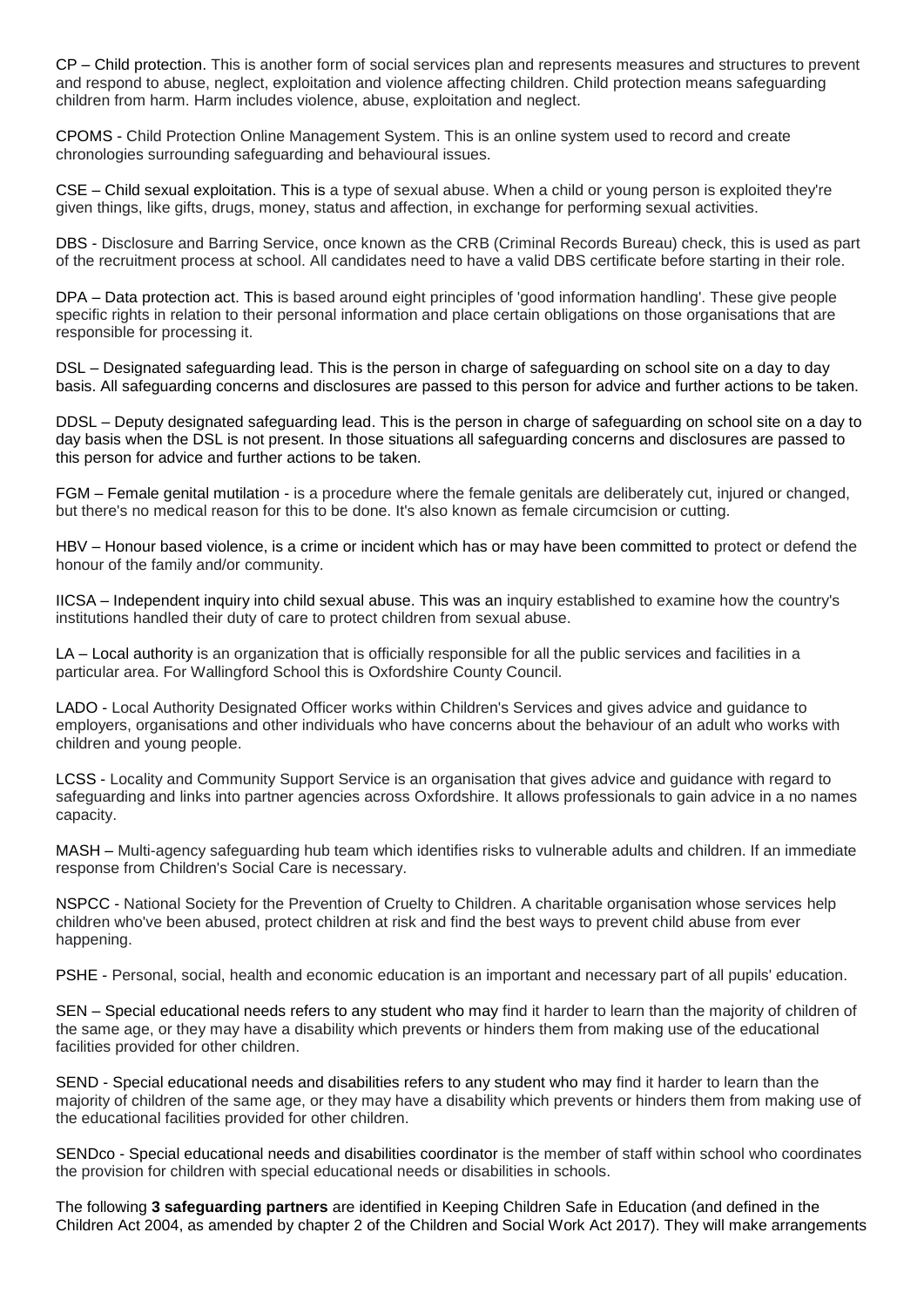CP – Child protection. This is another form of social services plan and represents measures and structures to prevent and respond to abuse, neglect, exploitation and violence affecting children. Child protection means safeguarding children from harm. Harm includes violence, abuse, exploitation and neglect.

CPOMS - Child Protection Online Management System. This is an online system used to record and create chronologies surrounding safeguarding and behavioural issues.

CSE – Child sexual exploitation. This is a type of sexual abuse. When a child or young person is exploited they're given things, like gifts, drugs, money, status and affection, in exchange for performing sexual activities.

DBS - Disclosure and Barring Service, once known as the CRB (Criminal Records Bureau) check, this is used as part of the recruitment process at school. All candidates need to have a valid DBS certificate before starting in their role.

DPA – Data protection act. This is based around eight principles of 'good information handling'. These give people specific rights in relation to their personal information and place certain obligations on those organisations that are responsible for processing it.

DSL – Designated safeguarding lead. This is the person in charge of safeguarding on school site on a day to day basis. All safeguarding concerns and disclosures are passed to this person for advice and further actions to be taken.

DDSL – Deputy designated safeguarding lead. This is the person in charge of safeguarding on school site on a day to day basis when the DSL is not present. In those situations all safeguarding concerns and disclosures are passed to this person for advice and further actions to be taken.

FGM – Female genital mutilation - is a procedure where the female genitals are deliberately cut, injured or changed, but there's no medical reason for this to be done. It's also known as female circumcision or cutting.

HBV – Honour based violence, is a crime or incident which has or may have been committed to protect or defend the honour of the family and/or community.

IICSA – Independent inquiry into child sexual abuse. This was an inquiry established to examine how the country's institutions handled their duty of care to protect children from sexual abuse.

LA – Local authority is an organization that is officially responsible for all the public services and facilities in a particular area. For Wallingford School this is Oxfordshire County Council.

LADO - Local Authority Designated Officer works within Children's Services and gives advice and guidance to employers, organisations and other individuals who have concerns about the behaviour of an adult who works with children and young people.

LCSS - Locality and Community Support Service is an organisation that gives advice and guidance with regard to safeguarding and links into partner agencies across Oxfordshire. It allows professionals to gain advice in a no names capacity.

MASH – Multi-agency safeguarding hub team which identifies risks to vulnerable adults and children. If an immediate response from Children's Social Care is necessary.

NSPCC - National Society for the Prevention of Cruelty to Children. A charitable organisation whose services help children who've been abused, protect children at risk and find the best ways to prevent child abuse from ever happening.

PSHE - Personal, social, health and economic education is an important and necessary part of all pupils' education.

SEN – Special educational needs refers to any student who may find it harder to learn than the majority of children of the same age, or they may have a disability which prevents or hinders them from making use of the educational facilities provided for other children.

SEND - Special educational needs and disabilities refers to any student who may find it harder to learn than the majority of children of the same age, or they may have a disability which prevents or hinders them from making use of the educational facilities provided for other children.

SENDco - Special educational needs and disabilities coordinator is the member of staff within school who coordinates the provision for children with special educational needs or disabilities in schools.

The following **3 safeguarding partners** are identified in Keeping Children Safe in Education (and defined in the Children Act 2004, as amended by chapter 2 of the Children and Social Work Act 2017). They will make arrangements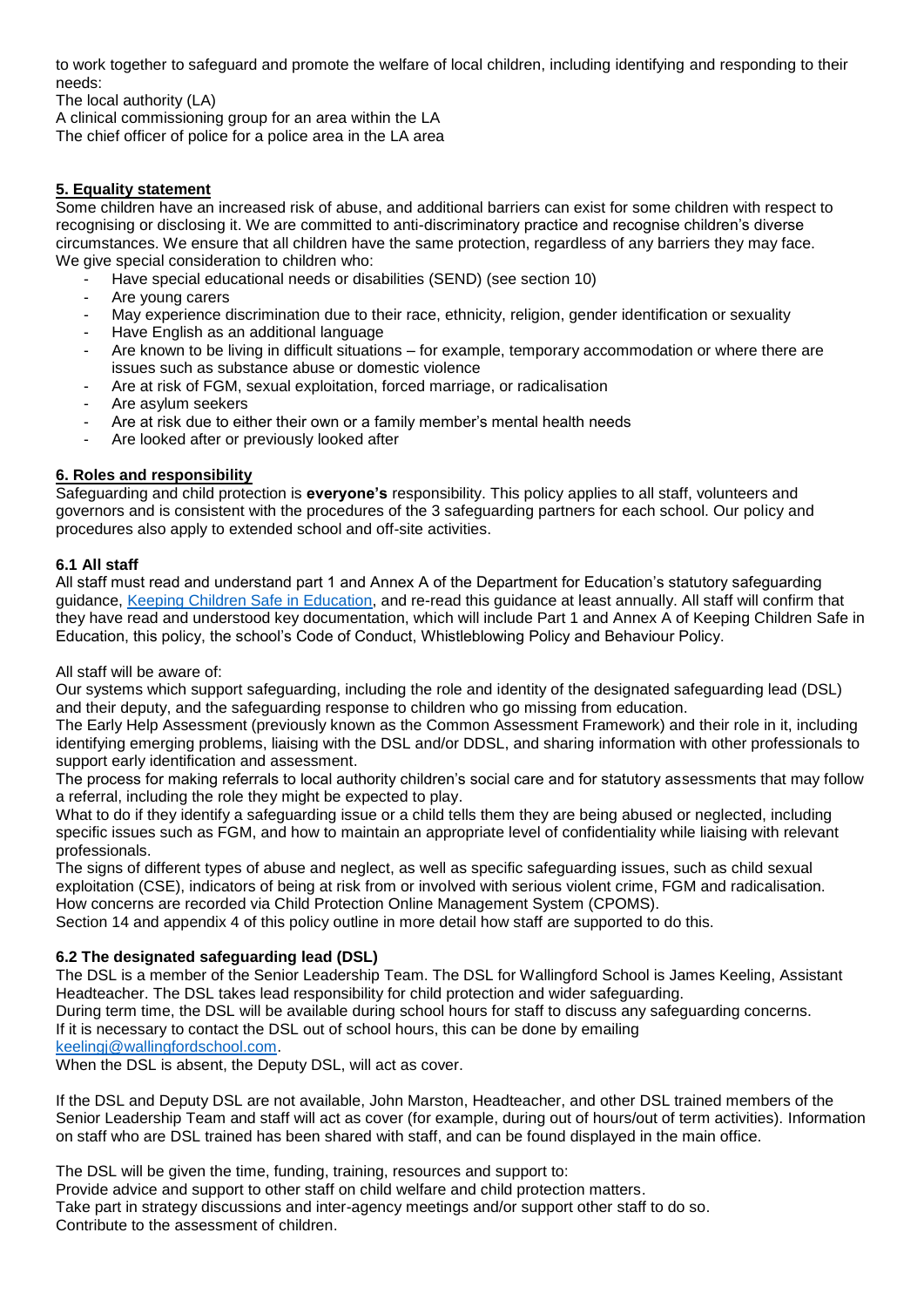to work together to safeguard and promote the welfare of local children, including identifying and responding to their needs:

The local authority (LA)

A clinical commissioning group for an area within the LA

The chief officer of police for a police area in the LA area

# **5. Equality statement**

Some children have an increased risk of abuse, and additional barriers can exist for some children with respect to recognising or disclosing it. We are committed to anti-discriminatory practice and recognise children's diverse circumstances. We ensure that all children have the same protection, regardless of any barriers they may face. We give special consideration to children who:

- Have special educational needs or disabilities (SEND) (see section 10)
- Are young carers
- May experience discrimination due to their race, ethnicity, religion, gender identification or sexuality
- Have English as an additional language
- Are known to be living in difficult situations for example, temporary accommodation or where there are issues such as substance abuse or domestic violence
- Are at risk of FGM, sexual exploitation, forced marriage, or radicalisation
- Are asylum seekers
- Are at risk due to either their own or a family member's mental health needs
- Are looked after or previously looked after

# **6. Roles and responsibility**

Safeguarding and child protection is **everyone's** responsibility. This policy applies to all staff, volunteers and governors and is consistent with the procedures of the 3 safeguarding partners for each school. Our policy and procedures also apply to extended school and off-site activities.

# **6.1 All staff**

All staff must read and understand part 1 and Annex A of the Department for Education's statutory safeguarding guidance, [Keeping Children Safe in Education,](https://www.gov.uk/government/publications/keeping-children-safe-in-education--2) and re-read this guidance at least annually. All staff will confirm that they have read and understood key documentation, which will include Part 1 and Annex A of Keeping Children Safe in Education, this policy, the school's Code of Conduct, Whistleblowing Policy and Behaviour Policy.

# All staff will be aware of:

Our systems which support safeguarding, including the role and identity of the designated safeguarding lead (DSL) and their deputy, and the safeguarding response to children who go missing from education.

The Early Help Assessment (previously known as the Common Assessment Framework) and their role in it, including identifying emerging problems, liaising with the DSL and/or DDSL, and sharing information with other professionals to support early identification and assessment.

The process for making referrals to local authority children's social care and for statutory assessments that may follow a referral, including the role they might be expected to play.

What to do if they identify a safeguarding issue or a child tells them they are being abused or neglected, including specific issues such as FGM, and how to maintain an appropriate level of confidentiality while liaising with relevant professionals.

The signs of different types of abuse and neglect, as well as specific safeguarding issues, such as child sexual exploitation (CSE), indicators of being at risk from or involved with serious violent crime, FGM and radicalisation. How concerns are recorded via Child Protection Online Management System (CPOMS).

Section 14 and appendix 4 of this policy outline in more detail how staff are supported to do this.

# **6.2 The designated safeguarding lead (DSL)**

The DSL is a member of the Senior Leadership Team. The DSL for Wallingford School is James Keeling, Assistant Headteacher. The DSL takes lead responsibility for child protection and wider safeguarding. During term time, the DSL will be available during school hours for staff to discuss any safeguarding concerns. If it is necessary to contact the DSL out of school hours, this can be done by emailing [keelingj@wallingfordschool.com.](mailto:keelingj@wallingfordschool.com)

When the DSL is absent, the Deputy DSL, will act as cover.

If the DSL and Deputy DSL are not available, John Marston, Headteacher, and other DSL trained members of the Senior Leadership Team and staff will act as cover (for example, during out of hours/out of term activities). Information on staff who are DSL trained has been shared with staff, and can be found displayed in the main office.

The DSL will be given the time, funding, training, resources and support to: Provide advice and support to other staff on child welfare and child protection matters. Take part in strategy discussions and inter-agency meetings and/or support other staff to do so. Contribute to the assessment of children.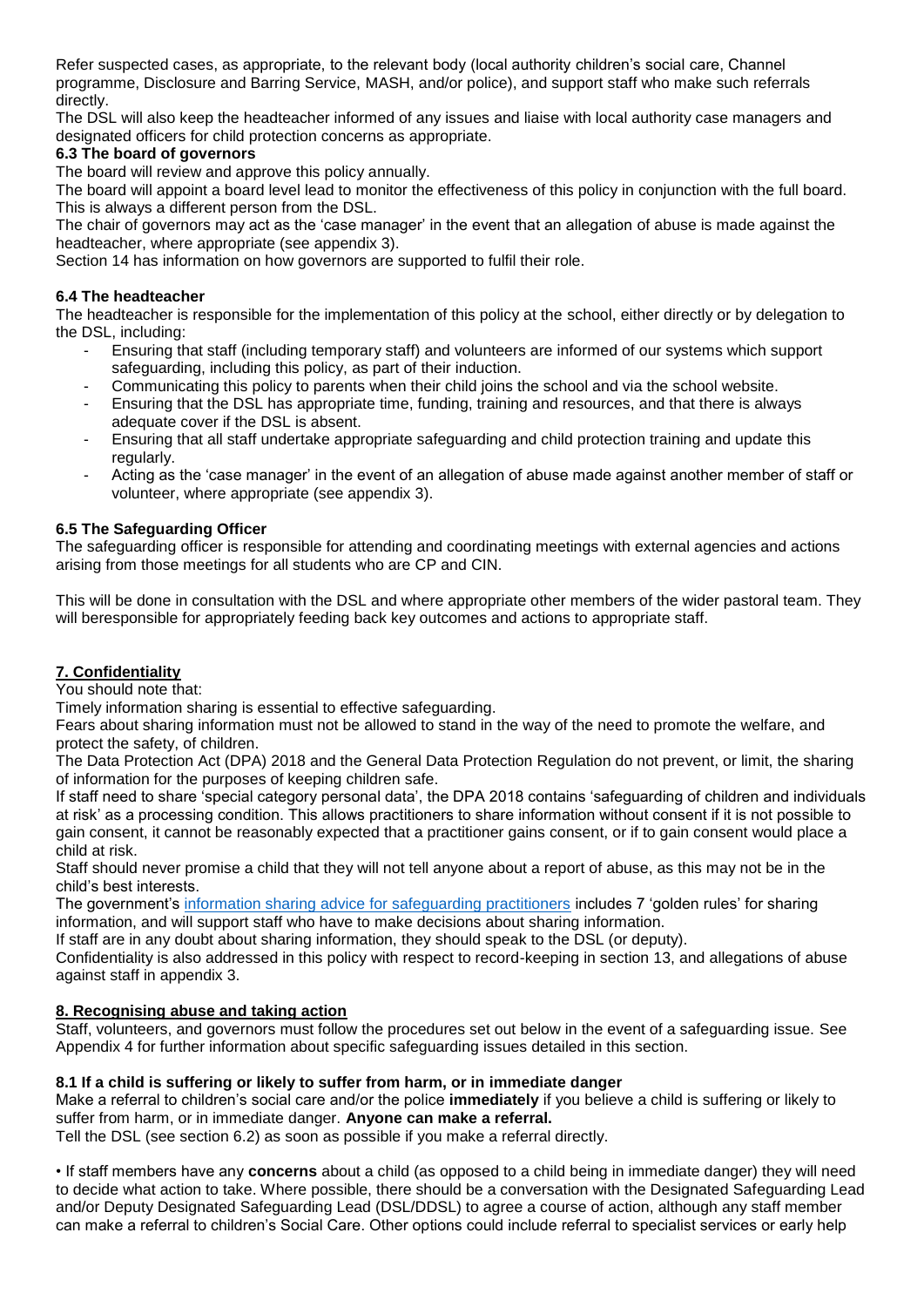Refer suspected cases, as appropriate, to the relevant body (local authority children's social care, Channel programme, Disclosure and Barring Service, MASH, and/or police), and support staff who make such referrals directly.

The DSL will also keep the headteacher informed of any issues and liaise with local authority case managers and designated officers for child protection concerns as appropriate.

# **6.3 The board of governors**

The board will review and approve this policy annually.

The board will appoint a board level lead to monitor the effectiveness of this policy in conjunction with the full board. This is always a different person from the DSL.

The chair of governors may act as the 'case manager' in the event that an allegation of abuse is made against the headteacher, where appropriate (see appendix 3).

Section 14 has information on how governors are supported to fulfil their role.

# **6.4 The headteacher**

The headteacher is responsible for the implementation of this policy at the school, either directly or by delegation to the DSL, including:

- Ensuring that staff (including temporary staff) and volunteers are informed of our systems which support safeguarding, including this policy, as part of their induction.
- Communicating this policy to parents when their child joins the school and via the school website.
- Ensuring that the DSL has appropriate time, funding, training and resources, and that there is always adequate cover if the DSL is absent.
- Ensuring that all staff undertake appropriate safeguarding and child protection training and update this regularly.
- Acting as the 'case manager' in the event of an allegation of abuse made against another member of staff or volunteer, where appropriate (see appendix 3).

# **6.5 The Safeguarding Officer**

The safeguarding officer is responsible for attending and coordinating meetings with external agencies and actions arising from those meetings for all students who are CP and CIN.

This will be done in consultation with the DSL and where appropriate other members of the wider pastoral team. They will beresponsible for appropriately feeding back key outcomes and actions to appropriate staff.

# **7. Confidentiality**

You should note that:

Timely information sharing is essential to effective safeguarding.

Fears about sharing information must not be allowed to stand in the way of the need to promote the welfare, and protect the safety, of children.

The Data Protection Act (DPA) 2018 and the General Data Protection Regulation do not prevent, or limit, the sharing of information for the purposes of keeping children safe.

If staff need to share 'special category personal data', the DPA 2018 contains 'safeguarding of children and individuals at risk' as a processing condition. This allows practitioners to share information without consent if it is not possible to gain consent, it cannot be reasonably expected that a practitioner gains consent, or if to gain consent would place a child at risk.

Staff should never promise a child that they will not tell anyone about a report of abuse, as this may not be in the child's best interests.

The government's [information sharing advice for safeguarding practitioners](https://www.gov.uk/government/publications/safeguarding-practitioners-information-sharing-advice) includes 7 'golden rules' for sharing information, and will support staff who have to make decisions about sharing information.

If staff are in any doubt about sharing information, they should speak to the DSL (or deputy).

Confidentiality is also addressed in this policy with respect to record-keeping in section 13, and allegations of abuse against staff in appendix 3.

# **8. Recognising abuse and taking action**

Staff, volunteers, and governors must follow the procedures set out below in the event of a safeguarding issue. See Appendix 4 for further information about specific safeguarding issues detailed in this section.

# **8.1 If a child is suffering or likely to suffer from harm, or in immediate danger**

Make a referral to children's social care and/or the police **immediately** if you believe a child is suffering or likely to suffer from harm, or in immediate danger. **Anyone can make a referral.** 

Tell the DSL (see section 6.2) as soon as possible if you make a referral directly.

• If staff members have any **concerns** about a child (as opposed to a child being in immediate danger) they will need to decide what action to take. Where possible, there should be a conversation with the Designated Safeguarding Lead and/or Deputy Designated Safeguarding Lead (DSL/DDSL) to agree a course of action, although any staff member can make a referral to children's Social Care. Other options could include referral to specialist services or early help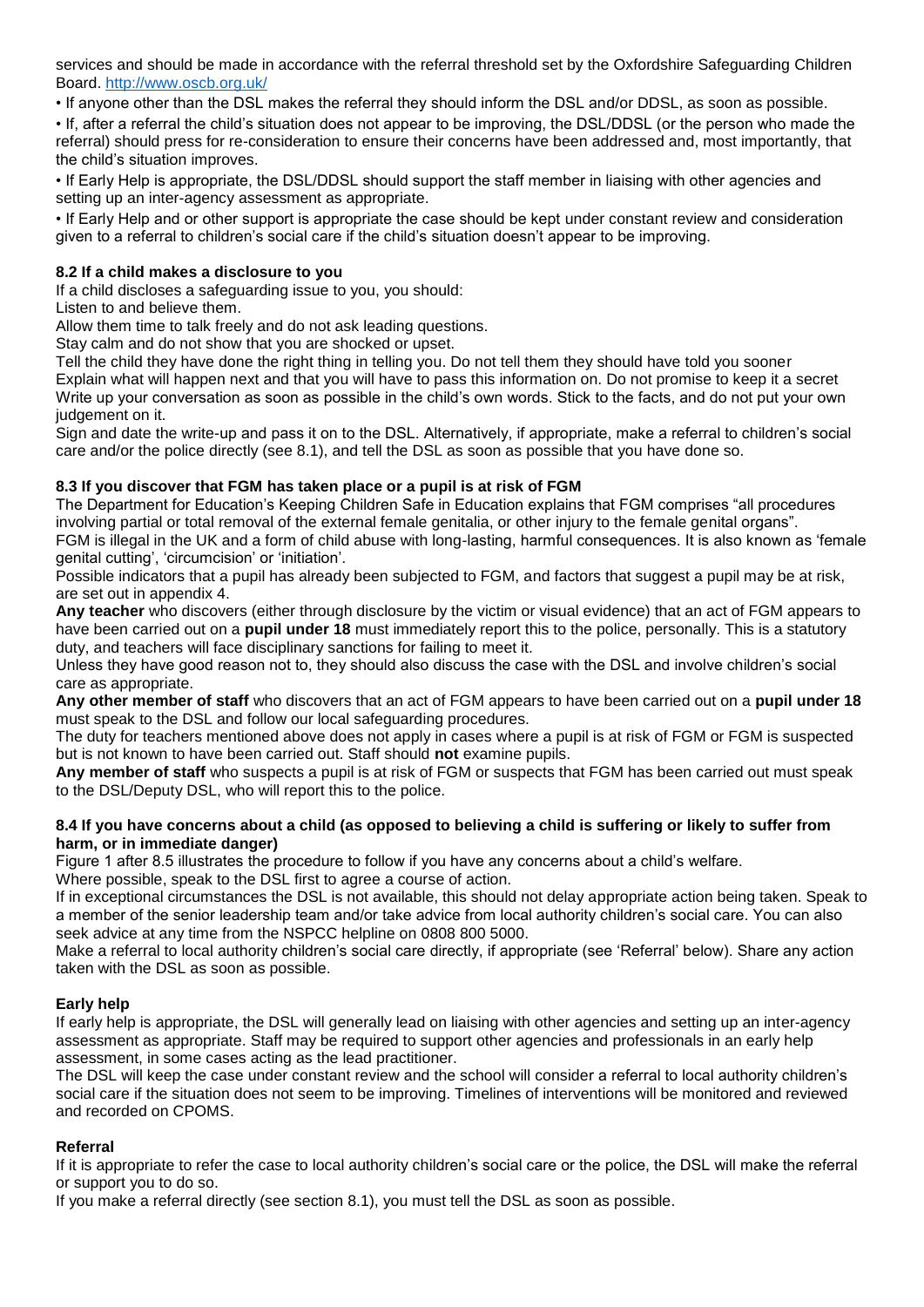services and should be made in accordance with the referral threshold set by the Oxfordshire Safeguarding Children Board.<http://www.oscb.org.uk/>

• If anyone other than the DSL makes the referral they should inform the DSL and/or DDSL, as soon as possible.

• If, after a referral the child's situation does not appear to be improving, the DSL/DDSL (or the person who made the referral) should press for re-consideration to ensure their concerns have been addressed and, most importantly, that the child's situation improves.

• If Early Help is appropriate, the DSL/DDSL should support the staff member in liaising with other agencies and setting up an inter-agency assessment as appropriate.

• If Early Help and or other support is appropriate the case should be kept under constant review and consideration given to a referral to children's social care if the child's situation doesn't appear to be improving.

# **8.2 If a child makes a disclosure to you**

If a child discloses a safeguarding issue to you, you should:

Listen to and believe them.

Allow them time to talk freely and do not ask leading questions.

Stay calm and do not show that you are shocked or upset.

Tell the child they have done the right thing in telling you. Do not tell them they should have told you sooner Explain what will happen next and that you will have to pass this information on. Do not promise to keep it a secret Write up your conversation as soon as possible in the child's own words. Stick to the facts, and do not put your own judgement on it.

Sign and date the write-up and pass it on to the DSL. Alternatively, if appropriate, make a referral to children's social care and/or the police directly (see 8.1), and tell the DSL as soon as possible that you have done so.

# **8.3 If you discover that FGM has taken place or a pupil is at risk of FGM**

The Department for Education's Keeping Children Safe in Education explains that FGM comprises "all procedures involving partial or total removal of the external female genitalia, or other injury to the female genital organs". FGM is illegal in the UK and a form of child abuse with long-lasting, harmful consequences. It is also known as 'female genital cutting', 'circumcision' or 'initiation'.

Possible indicators that a pupil has already been subjected to FGM, and factors that suggest a pupil may be at risk, are set out in appendix 4.

**Any teacher** who discovers (either through disclosure by the victim or visual evidence) that an act of FGM appears to have been carried out on a **pupil under 18** must immediately report this to the police, personally. This is a statutory duty, and teachers will face disciplinary sanctions for failing to meet it.

Unless they have good reason not to, they should also discuss the case with the DSL and involve children's social care as appropriate.

**Any other member of staff** who discovers that an act of FGM appears to have been carried out on a **pupil under 18**  must speak to the DSL and follow our local safeguarding procedures.

The duty for teachers mentioned above does not apply in cases where a pupil is at risk of FGM or FGM is suspected but is not known to have been carried out. Staff should **not** examine pupils.

**Any member of staff** who suspects a pupil is at risk of FGM or suspects that FGM has been carried out must speak to the DSL/Deputy DSL, who will report this to the police.

# **8.4 If you have concerns about a child (as opposed to believing a child is suffering or likely to suffer from harm, or in immediate danger)**

Figure 1 after 8.5 illustrates the procedure to follow if you have any concerns about a child's welfare. Where possible, speak to the DSL first to agree a course of action.

If in exceptional circumstances the DSL is not available, this should not delay appropriate action being taken. Speak to a member of the senior leadership team and/or take advice from local authority children's social care. You can also seek advice at any time from the NSPCC helpline on 0808 800 5000.

Make a referral to local authority children's social care directly, if appropriate (see 'Referral' below). Share any action taken with the DSL as soon as possible.

# **Early help**

If early help is appropriate, the DSL will generally lead on liaising with other agencies and setting up an inter-agency assessment as appropriate. Staff may be required to support other agencies and professionals in an early help assessment, in some cases acting as the lead practitioner.

The DSL will keep the case under constant review and the school will consider a referral to local authority children's social care if the situation does not seem to be improving. Timelines of interventions will be monitored and reviewed and recorded on CPOMS.

# **Referral**

If it is appropriate to refer the case to local authority children's social care or the police, the DSL will make the referral or support you to do so.

If you make a referral directly (see section 8.1), you must tell the DSL as soon as possible.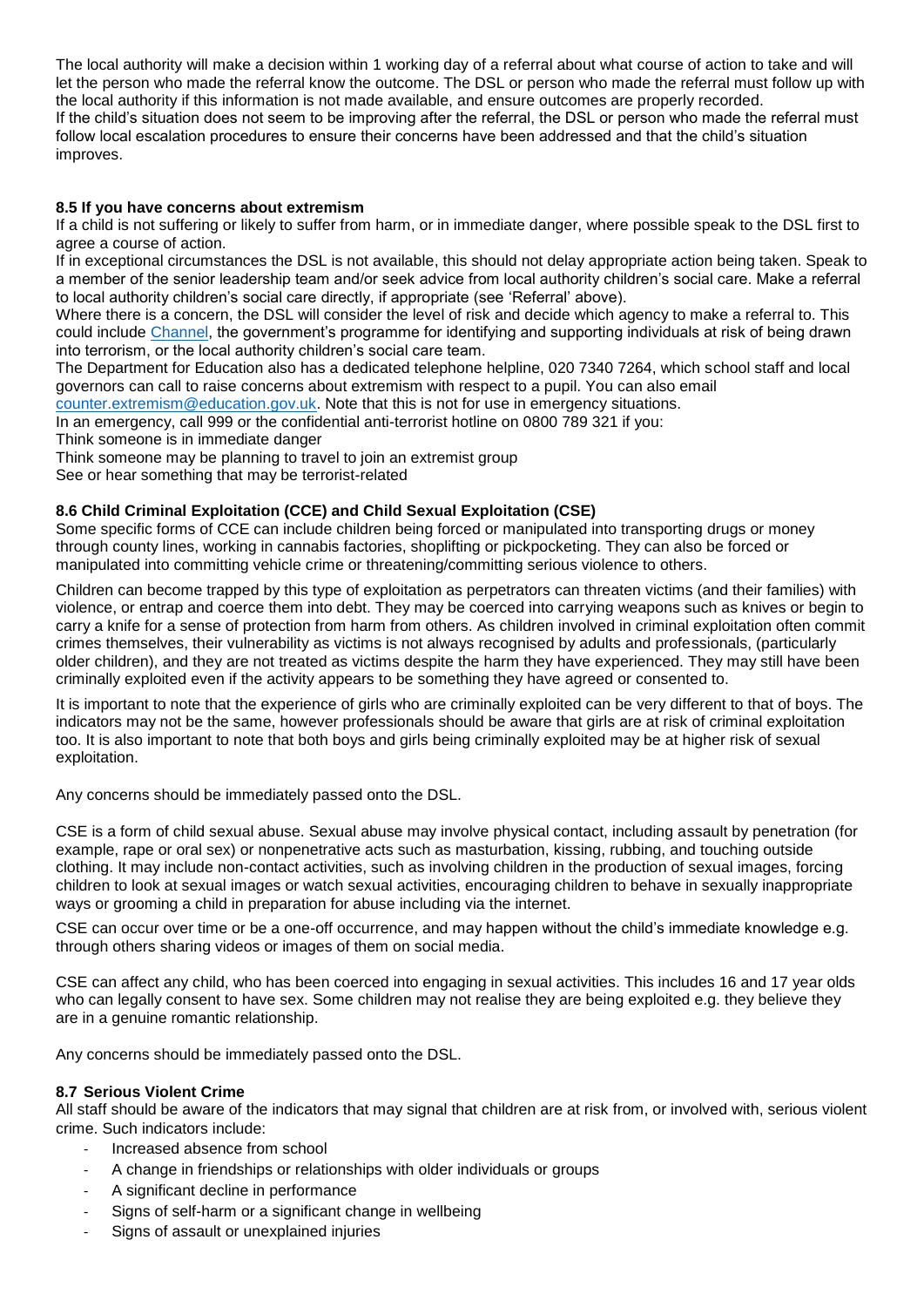The local authority will make a decision within 1 working day of a referral about what course of action to take and will let the person who made the referral know the outcome. The DSL or person who made the referral must follow up with the local authority if this information is not made available, and ensure outcomes are properly recorded. If the child's situation does not seem to be improving after the referral, the DSL or person who made the referral must follow local escalation procedures to ensure their concerns have been addressed and that the child's situation improves.

# **8.5 If you have concerns about extremism**

If a child is not suffering or likely to suffer from harm, or in immediate danger, where possible speak to the DSL first to agree a course of action.

If in exceptional circumstances the DSL is not available, this should not delay appropriate action being taken. Speak to a member of the senior leadership team and/or seek advice from local authority children's social care. Make a referral to local authority children's social care directly, if appropriate (see 'Referral' above).

Where there is a concern, the DSL will consider the level of risk and decide which agency to make a referral to. This could include [Channel,](https://www.gov.uk/government/publications/channel-guidance) the government's programme for identifying and supporting individuals at risk of being drawn into terrorism, or the local authority children's social care team.

The Department for Education also has a dedicated telephone helpline, 020 7340 7264, which school staff and local governors can call to raise concerns about extremism with respect to a pupil. You can also email

[counter.extremism@education.gov.uk.](mailto:counter.extremism@education.gov.uk) Note that this is not for use in emergency situations.

In an emergency, call 999 or the confidential anti-terrorist hotline on 0800 789 321 if you:

Think someone is in immediate danger

Think someone may be planning to travel to join an extremist group

See or hear something that may be terrorist-related

# **8.6 Child Criminal Exploitation (CCE) and Child Sexual Exploitation (CSE)**

Some specific forms of CCE can include children being forced or manipulated into transporting drugs or money through county lines, working in cannabis factories, shoplifting or pickpocketing. They can also be forced or manipulated into committing vehicle crime or threatening/committing serious violence to others.

Children can become trapped by this type of exploitation as perpetrators can threaten victims (and their families) with violence, or entrap and coerce them into debt. They may be coerced into carrying weapons such as knives or begin to carry a knife for a sense of protection from harm from others. As children involved in criminal exploitation often commit crimes themselves, their vulnerability as victims is not always recognised by adults and professionals, (particularly older children), and they are not treated as victims despite the harm they have experienced. They may still have been criminally exploited even if the activity appears to be something they have agreed or consented to.

It is important to note that the experience of girls who are criminally exploited can be very different to that of boys. The indicators may not be the same, however professionals should be aware that girls are at risk of criminal exploitation too. It is also important to note that both boys and girls being criminally exploited may be at higher risk of sexual exploitation.

Any concerns should be immediately passed onto the DSL.

CSE is a form of child sexual abuse. Sexual abuse may involve physical contact, including assault by penetration (for example, rape or oral sex) or nonpenetrative acts such as masturbation, kissing, rubbing, and touching outside clothing. It may include non-contact activities, such as involving children in the production of sexual images, forcing children to look at sexual images or watch sexual activities, encouraging children to behave in sexually inappropriate ways or grooming a child in preparation for abuse including via the internet.

CSE can occur over time or be a one-off occurrence, and may happen without the child's immediate knowledge e.g. through others sharing videos or images of them on social media.

CSE can affect any child, who has been coerced into engaging in sexual activities. This includes 16 and 17 year olds who can legally consent to have sex. Some children may not realise they are being exploited e.g. they believe they are in a genuine romantic relationship.

Any concerns should be immediately passed onto the DSL.

# **8.7 Serious Violent Crime**

All staff should be aware of the indicators that may signal that children are at risk from, or involved with, serious violent crime. Such indicators include:

- Increased absence from school
- A change in friendships or relationships with older individuals or groups
- A significant decline in performance
- Signs of self-harm or a significant change in wellbeing
- Signs of assault or unexplained injuries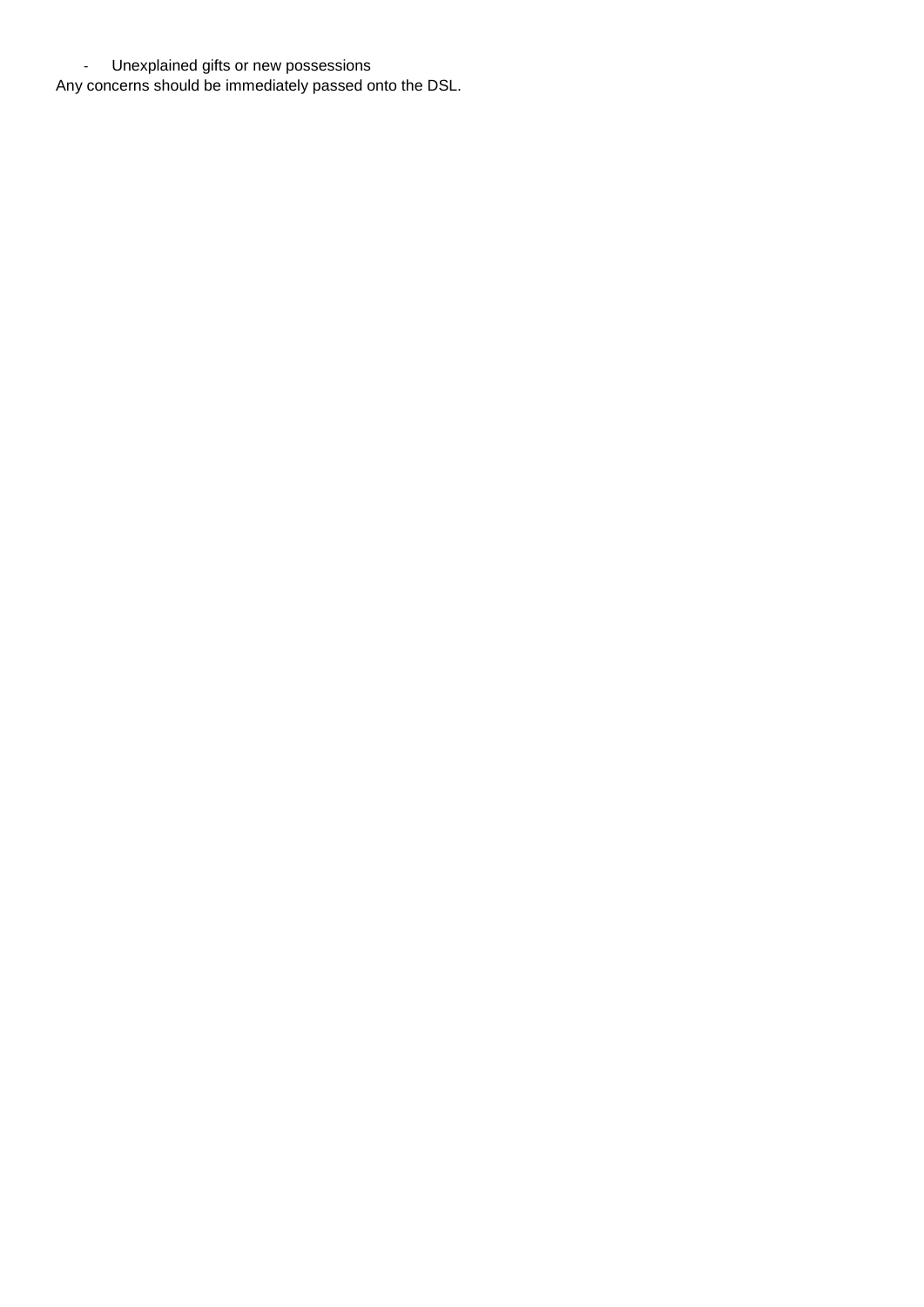- Unexplained gifts or new possessions

Any concerns should be immediately passed onto the DSL.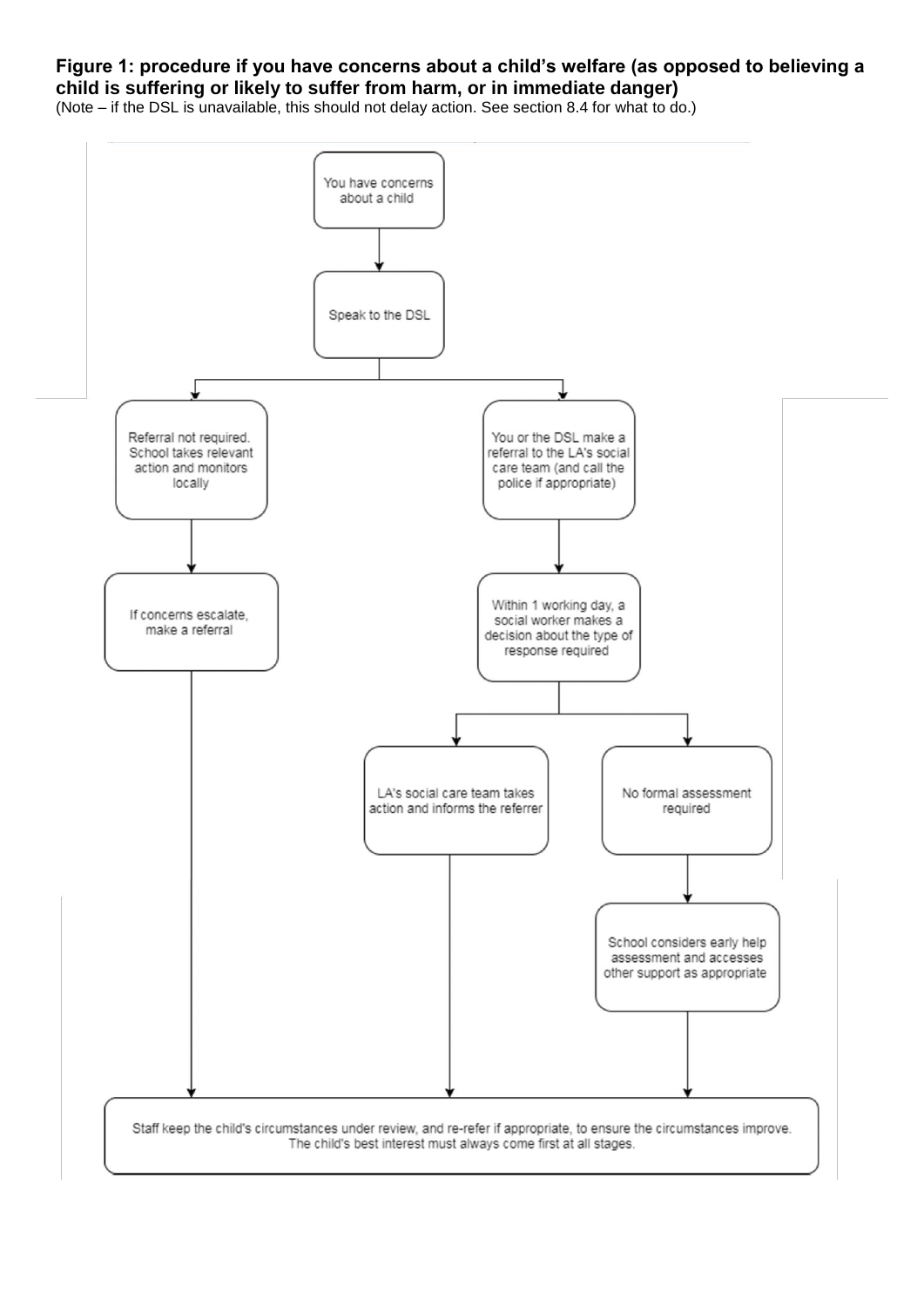# **Figure 1: procedure if you have concerns about a child's welfare (as opposed to believing a child is suffering or likely to suffer from harm, or in immediate danger)**

(Note – if the DSL is unavailable, this should not delay action. See section 8.4 for what to do.)

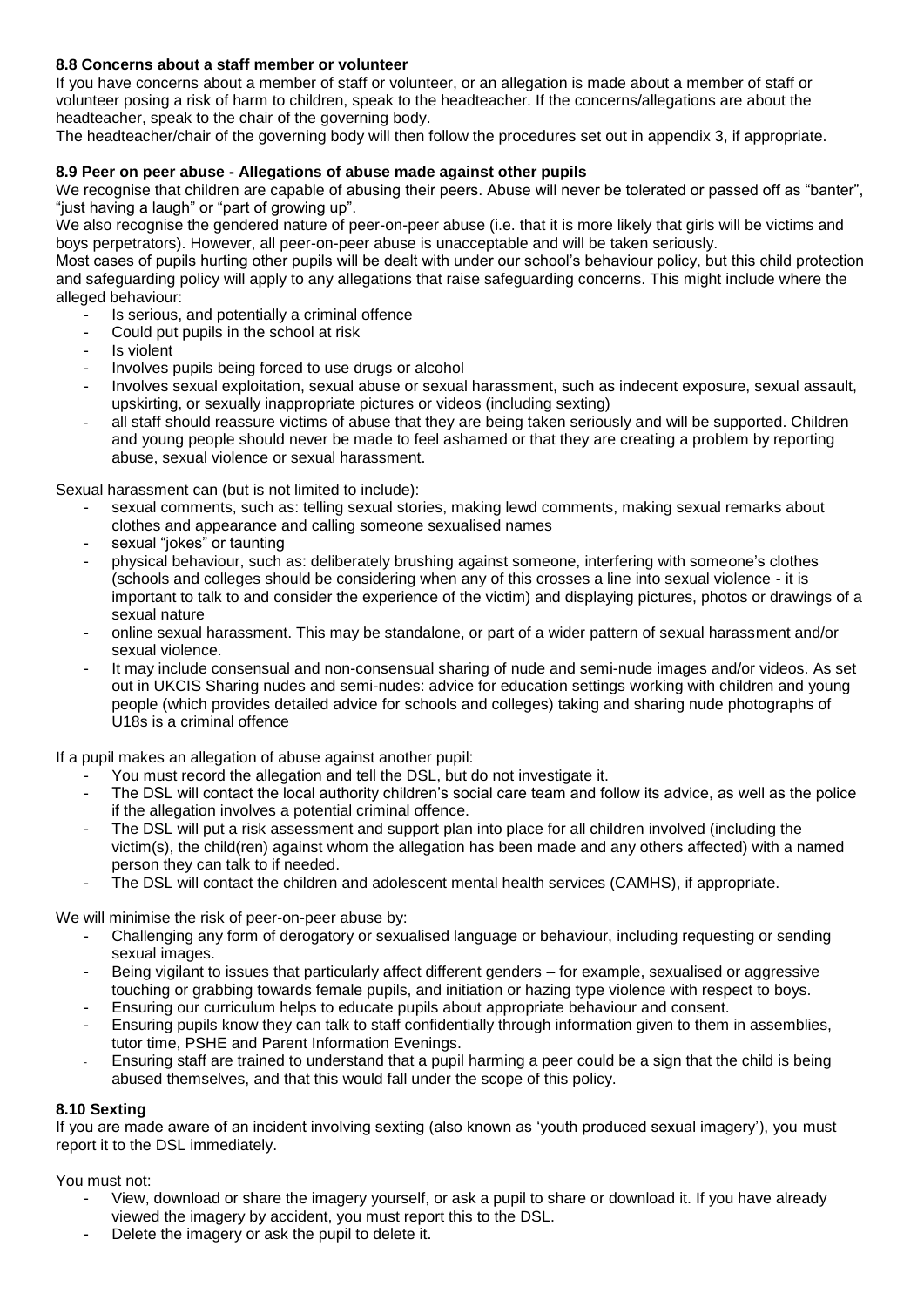# **8.8 Concerns about a staff member or volunteer**

If you have concerns about a member of staff or volunteer, or an allegation is made about a member of staff or volunteer posing a risk of harm to children, speak to the headteacher. If the concerns/allegations are about the headteacher, speak to the chair of the governing body.

The headteacher/chair of the governing body will then follow the procedures set out in appendix 3, if appropriate.

# **8.9 Peer on peer abuse - Allegations of abuse made against other pupils**

We recognise that children are capable of abusing their peers. Abuse will never be tolerated or passed off as "banter", "just having a laugh" or "part of growing up".

We also recognise the gendered nature of peer-on-peer abuse (i.e. that it is more likely that girls will be victims and boys perpetrators). However, all peer-on-peer abuse is unacceptable and will be taken seriously.

Most cases of pupils hurting other pupils will be dealt with under our school's behaviour policy, but this child protection and safeguarding policy will apply to any allegations that raise safeguarding concerns. This might include where the alleged behaviour:

- Is serious, and potentially a criminal offence
- Could put pupils in the school at risk
- Is violent
- Involves pupils being forced to use drugs or alcohol
- Involves sexual exploitation, sexual abuse or sexual harassment, such as indecent exposure, sexual assault, upskirting, or sexually inappropriate pictures or videos (including sexting)
- all staff should reassure victims of abuse that they are being taken seriously and will be supported. Children and young people should never be made to feel ashamed or that they are creating a problem by reporting abuse, sexual violence or sexual harassment.

Sexual harassment can (but is not limited to include):

- sexual comments, such as: telling sexual stories, making lewd comments, making sexual remarks about clothes and appearance and calling someone sexualised names
- sexual "jokes" or taunting
- physical behaviour, such as: deliberately brushing against someone, interfering with someone's clothes (schools and colleges should be considering when any of this crosses a line into sexual violence - it is important to talk to and consider the experience of the victim) and displaying pictures, photos or drawings of a sexual nature
- online sexual harassment. This may be standalone, or part of a wider pattern of sexual harassment and/or sexual violence.
- It may include consensual and non-consensual sharing of nude and semi-nude images and/or videos. As set out in UKCIS Sharing nudes and semi-nudes: advice for education settings working with children and young people (which provides detailed advice for schools and colleges) taking and sharing nude photographs of U18s is a criminal offence

If a pupil makes an allegation of abuse against another pupil:

- You must record the allegation and tell the DSL, but do not investigate it.
- The DSL will contact the local authority children's social care team and follow its advice, as well as the police if the allegation involves a potential criminal offence.
- The DSL will put a risk assessment and support plan into place for all children involved (including the victim(s), the child(ren) against whom the allegation has been made and any others affected) with a named person they can talk to if needed.
- The DSL will contact the children and adolescent mental health services (CAMHS), if appropriate.

We will minimise the risk of peer-on-peer abuse by:

- Challenging any form of derogatory or sexualised language or behaviour, including requesting or sending sexual images.
- Being vigilant to issues that particularly affect different genders for example, sexualised or aggressive touching or grabbing towards female pupils, and initiation or hazing type violence with respect to boys.
- Ensuring our curriculum helps to educate pupils about appropriate behaviour and consent.
- Ensuring pupils know they can talk to staff confidentially through information given to them in assemblies, tutor time, PSHE and Parent Information Evenings.
- Ensuring staff are trained to understand that a pupil harming a peer could be a sign that the child is being abused themselves, and that this would fall under the scope of this policy.

# **8.10 Sexting**

If you are made aware of an incident involving sexting (also known as 'youth produced sexual imagery'), you must report it to the DSL immediately.

#### You must not:

- View, download or share the imagery yourself, or ask a pupil to share or download it. If you have already viewed the imagery by accident, you must report this to the DSL.
- Delete the imagery or ask the pupil to delete it.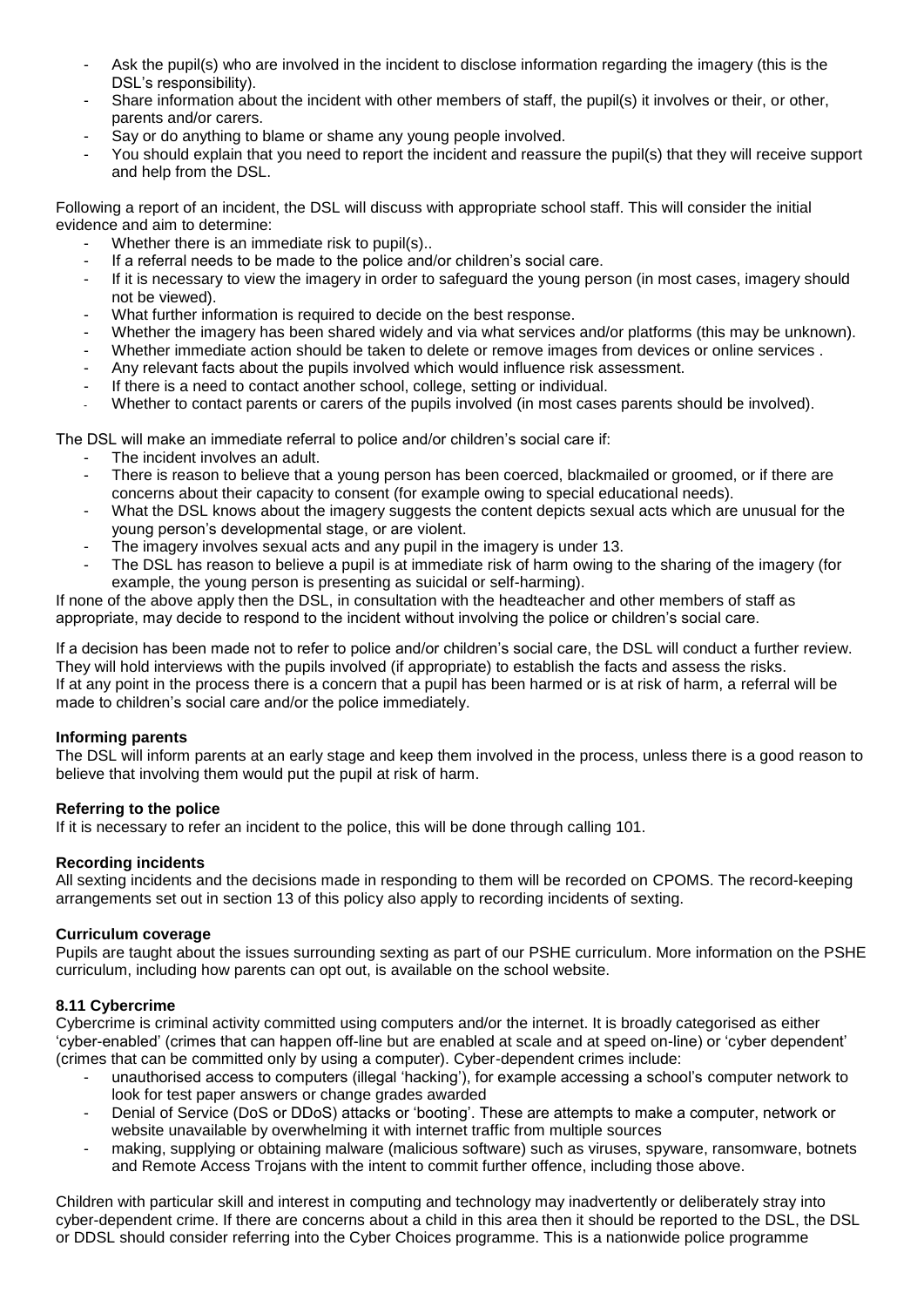- Ask the pupil(s) who are involved in the incident to disclose information regarding the imagery (this is the DSL's responsibility).
- Share information about the incident with other members of staff, the pupil(s) it involves or their, or other, parents and/or carers.
- Say or do anything to blame or shame any young people involved.
- You should explain that you need to report the incident and reassure the pupil(s) that they will receive support and help from the DSL.

Following a report of an incident, the DSL will discuss with appropriate school staff. This will consider the initial evidence and aim to determine:

- Whether there is an immediate risk to pupil(s)...
- If a referral needs to be made to the police and/or children's social care.
- If it is necessary to view the imagery in order to safeguard the young person (in most cases, imagery should not be viewed).
- What further information is required to decide on the best response.
- Whether the imagery has been shared widely and via what services and/or platforms (this may be unknown).
- Whether immediate action should be taken to delete or remove images from devices or online services.
- Any relevant facts about the pupils involved which would influence risk assessment.
- If there is a need to contact another school, college, setting or individual.
- Whether to contact parents or carers of the pupils involved (in most cases parents should be involved).

The DSL will make an immediate referral to police and/or children's social care if:

- The incident involves an adult.
- There is reason to believe that a young person has been coerced, blackmailed or groomed, or if there are concerns about their capacity to consent (for example owing to special educational needs).
- What the DSL knows about the imagery suggests the content depicts sexual acts which are unusual for the young person's developmental stage, or are violent.
- The imagery involves sexual acts and any pupil in the imagery is under 13.
- The DSL has reason to believe a pupil is at immediate risk of harm owing to the sharing of the imagery (for example, the young person is presenting as suicidal or self-harming).

If none of the above apply then the DSL, in consultation with the headteacher and other members of staff as appropriate, may decide to respond to the incident without involving the police or children's social care.

If a decision has been made not to refer to police and/or children's social care, the DSL will conduct a further review. They will hold interviews with the pupils involved (if appropriate) to establish the facts and assess the risks. If at any point in the process there is a concern that a pupil has been harmed or is at risk of harm, a referral will be made to children's social care and/or the police immediately.

# **Informing parents**

The DSL will inform parents at an early stage and keep them involved in the process, unless there is a good reason to believe that involving them would put the pupil at risk of harm.

# **Referring to the police**

If it is necessary to refer an incident to the police, this will be done through calling 101.

# **Recording incidents**

All sexting incidents and the decisions made in responding to them will be recorded on CPOMS. The record-keeping arrangements set out in section 13 of this policy also apply to recording incidents of sexting.

# **Curriculum coverage**

Pupils are taught about the issues surrounding sexting as part of our PSHE curriculum. More information on the PSHE curriculum, including how parents can opt out, is available on the school website.

# **8.11 Cybercrime**

Cybercrime is criminal activity committed using computers and/or the internet. It is broadly categorised as either 'cyber-enabled' (crimes that can happen off-line but are enabled at scale and at speed on-line) or 'cyber dependent' (crimes that can be committed only by using a computer). Cyber-dependent crimes include:

- unauthorised access to computers (illegal 'hacking'), for example accessing a school's computer network to look for test paper answers or change grades awarded
- Denial of Service (DoS or DDoS) attacks or 'booting'. These are attempts to make a computer, network or website unavailable by overwhelming it with internet traffic from multiple sources
- making, supplying or obtaining malware (malicious software) such as viruses, spyware, ransomware, botnets and Remote Access Trojans with the intent to commit further offence, including those above.

Children with particular skill and interest in computing and technology may inadvertently or deliberately stray into cyber-dependent crime. If there are concerns about a child in this area then it should be reported to the DSL, the DSL or DDSL should consider referring into the Cyber Choices programme. This is a nationwide police programme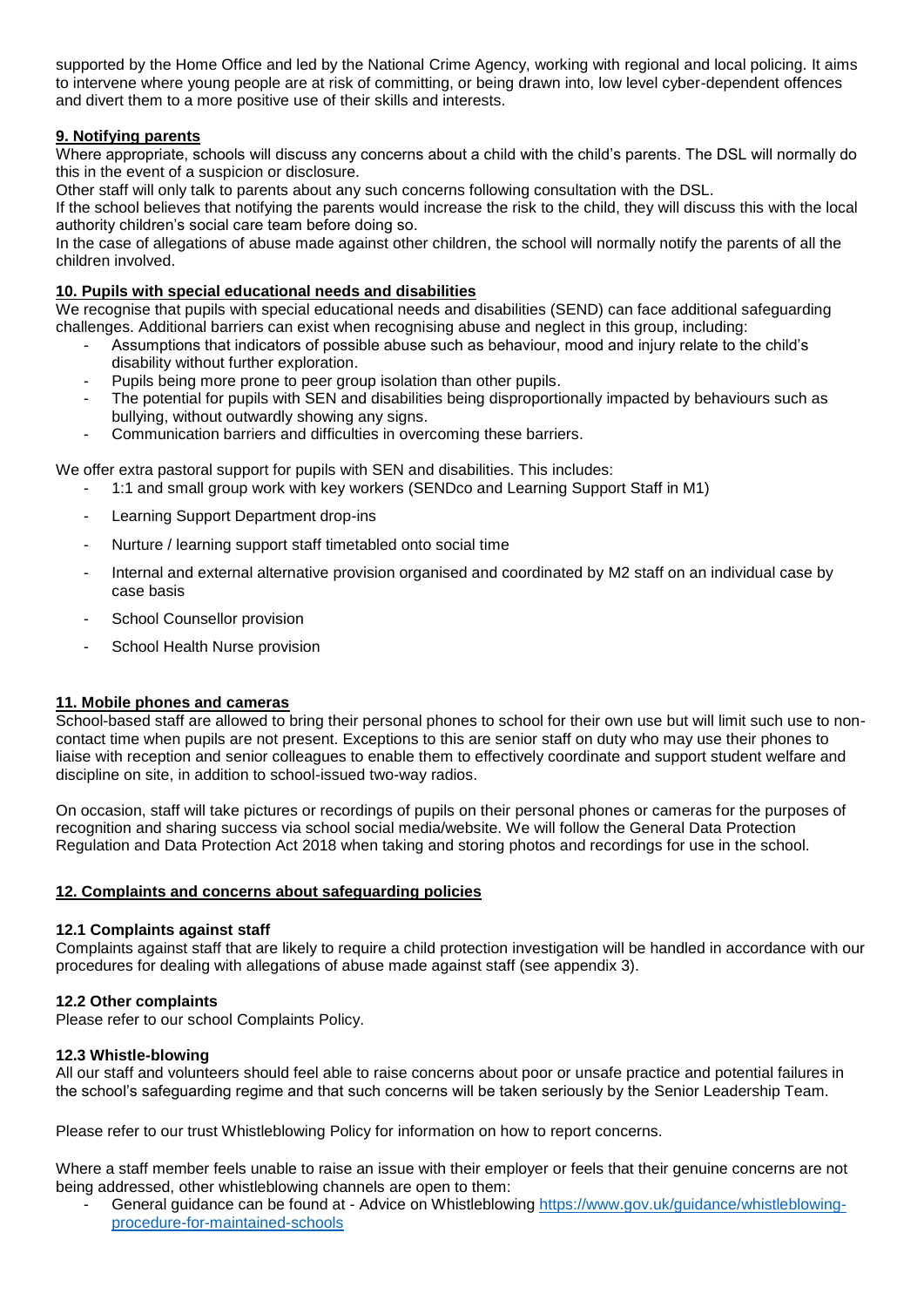supported by the Home Office and led by the National Crime Agency, working with regional and local policing. It aims to intervene where young people are at risk of committing, or being drawn into, low level cyber-dependent offences and divert them to a more positive use of their skills and interests.

# **9. Notifying parents**

Where appropriate, schools will discuss any concerns about a child with the child's parents. The DSL will normally do this in the event of a suspicion or disclosure.

Other staff will only talk to parents about any such concerns following consultation with the DSL.

If the school believes that notifying the parents would increase the risk to the child, they will discuss this with the local authority children's social care team before doing so.

In the case of allegations of abuse made against other children, the school will normally notify the parents of all the children involved.

# **10. Pupils with special educational needs and disabilities**

We recognise that pupils with special educational needs and disabilities (SEND) can face additional safeguarding challenges. Additional barriers can exist when recognising abuse and neglect in this group, including:

- Assumptions that indicators of possible abuse such as behaviour, mood and injury relate to the child's disability without further exploration.
- Pupils being more prone to peer group isolation than other pupils.
- The potential for pupils with SEN and disabilities being disproportionally impacted by behaviours such as bullying, without outwardly showing any signs.
- Communication barriers and difficulties in overcoming these barriers.

We offer extra pastoral support for pupils with SEN and disabilities. This includes:

- 1:1 and small group work with key workers (SENDco and Learning Support Staff in M1)
- Learning Support Department drop-ins
- Nurture / learning support staff timetabled onto social time
- Internal and external alternative provision organised and coordinated by M2 staff on an individual case by case basis
- School Counsellor provision
- School Health Nurse provision

# **11. Mobile phones and cameras**

School-based staff are allowed to bring their personal phones to school for their own use but will limit such use to noncontact time when pupils are not present. Exceptions to this are senior staff on duty who may use their phones to liaise with reception and senior colleagues to enable them to effectively coordinate and support student welfare and discipline on site, in addition to school-issued two-way radios.

On occasion, staff will take pictures or recordings of pupils on their personal phones or cameras for the purposes of recognition and sharing success via school social media/website. We will follow the General Data Protection Regulation and Data Protection Act 2018 when taking and storing photos and recordings for use in the school.

# **12. Complaints and concerns about safeguarding policies**

# **12.1 Complaints against staff**

Complaints against staff that are likely to require a child protection investigation will be handled in accordance with our procedures for dealing with allegations of abuse made against staff (see appendix 3).

# **12.2 Other complaints**

Please refer to our school Complaints Policy.

#### **12.3 Whistle-blowing**

All our staff and volunteers should feel able to raise concerns about poor or unsafe practice and potential failures in the school's safeguarding regime and that such concerns will be taken seriously by the Senior Leadership Team.

Please refer to our trust Whistleblowing Policy for information on how to report concerns.

Where a staff member feels unable to raise an issue with their employer or feels that their genuine concerns are not being addressed, other whistleblowing channels are open to them:

General guidance can be found at - Advice on Whistleblowing [https://www.gov.uk/guidance/whistleblowing](https://www.gov.uk/guidance/whistleblowing-procedure-for-maintained-schools)[procedure-for-maintained-schools](https://www.gov.uk/guidance/whistleblowing-procedure-for-maintained-schools)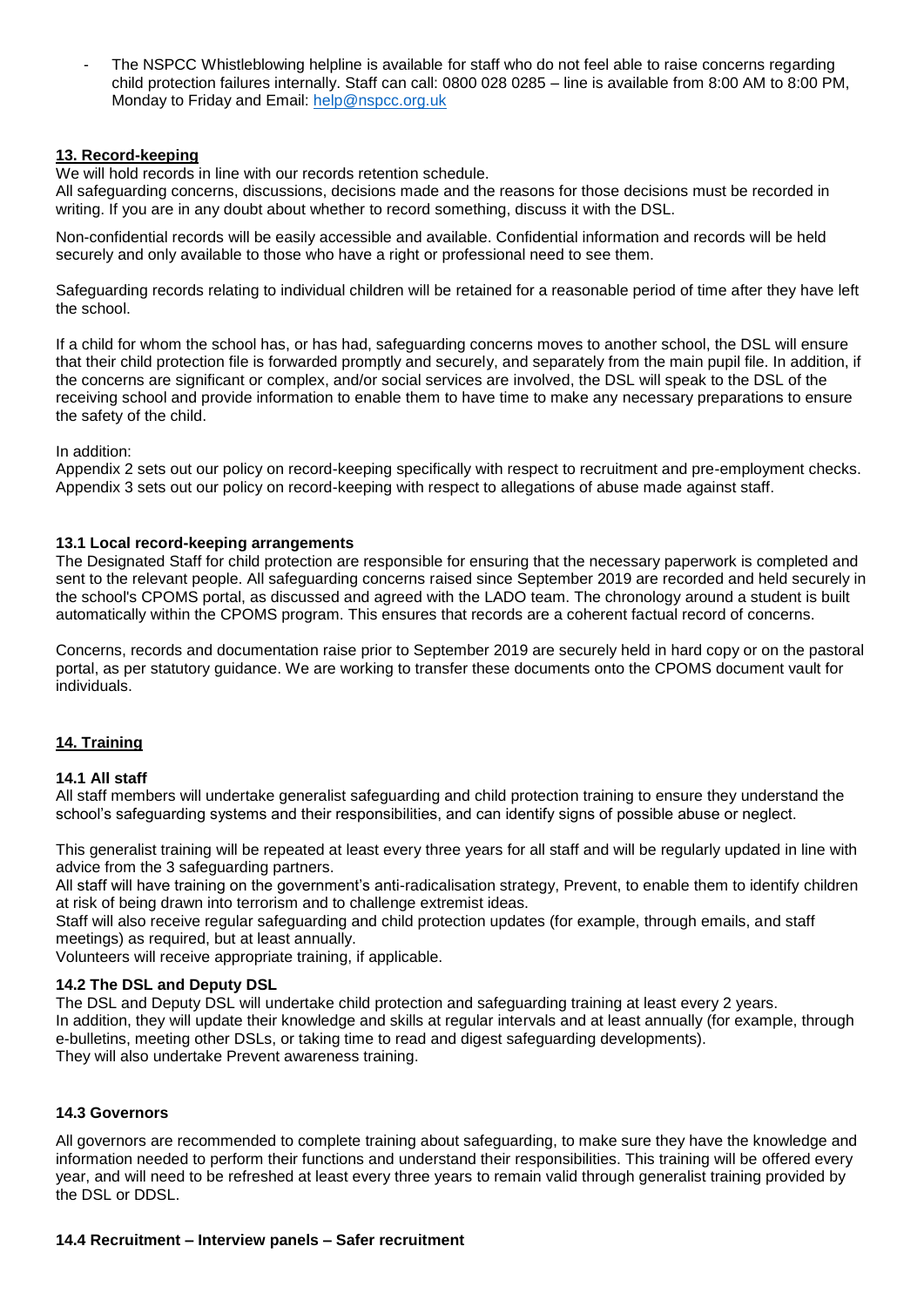The NSPCC Whistleblowing helpline is available for staff who do not feel able to raise concerns regarding child protection failures internally. Staff can call: 0800 028 0285 – line is available from 8:00 AM to 8:00 PM, Monday to Friday and Email: [help@nspcc.org.uk](mailto:help@nspcc.org.uk) 

#### **13. Record-keeping**

We will hold records in line with our records retention schedule.

All safeguarding concerns, discussions, decisions made and the reasons for those decisions must be recorded in writing. If you are in any doubt about whether to record something, discuss it with the DSL.

Non-confidential records will be easily accessible and available. Confidential information and records will be held securely and only available to those who have a right or professional need to see them.

Safeguarding records relating to individual children will be retained for a reasonable period of time after they have left the school.

If a child for whom the school has, or has had, safeguarding concerns moves to another school, the DSL will ensure that their child protection file is forwarded promptly and securely, and separately from the main pupil file. In addition, if the concerns are significant or complex, and/or social services are involved, the DSL will speak to the DSL of the receiving school and provide information to enable them to have time to make any necessary preparations to ensure the safety of the child.

#### In addition:

Appendix 2 sets out our policy on record-keeping specifically with respect to recruitment and pre-employment checks. Appendix 3 sets out our policy on record-keeping with respect to allegations of abuse made against staff.

#### **13.1 Local record-keeping arrangements**

The Designated Staff for child protection are responsible for ensuring that the necessary paperwork is completed and sent to the relevant people. All safeguarding concerns raised since September 2019 are recorded and held securely in the school's CPOMS portal, as discussed and agreed with the LADO team. The chronology around a student is built automatically within the CPOMS program. This ensures that records are a coherent factual record of concerns.

Concerns, records and documentation raise prior to September 2019 are securely held in hard copy or on the pastoral portal, as per statutory guidance. We are working to transfer these documents onto the CPOMS document vault for individuals.

# **14. Training**

#### **14.1 All staff**

All staff members will undertake generalist safeguarding and child protection training to ensure they understand the school's safeguarding systems and their responsibilities, and can identify signs of possible abuse or neglect.

This generalist training will be repeated at least every three years for all staff and will be regularly updated in line with advice from the 3 safeguarding partners.

All staff will have training on the government's anti-radicalisation strategy, Prevent, to enable them to identify children at risk of being drawn into terrorism and to challenge extremist ideas.

Staff will also receive regular safeguarding and child protection updates (for example, through emails, and staff meetings) as required, but at least annually.

Volunteers will receive appropriate training, if applicable.

#### **14.2 The DSL and Deputy DSL**

The DSL and Deputy DSL will undertake child protection and safeguarding training at least every 2 years. In addition, they will update their knowledge and skills at regular intervals and at least annually (for example, through e-bulletins, meeting other DSLs, or taking time to read and digest safeguarding developments). They will also undertake Prevent awareness training.

#### **14.3 Governors**

All governors are recommended to complete training about safeguarding, to make sure they have the knowledge and information needed to perform their functions and understand their responsibilities. This training will be offered every year, and will need to be refreshed at least every three years to remain valid through generalist training provided by the DSL or DDSL.

#### **14.4 Recruitment – Interview panels – Safer recruitment**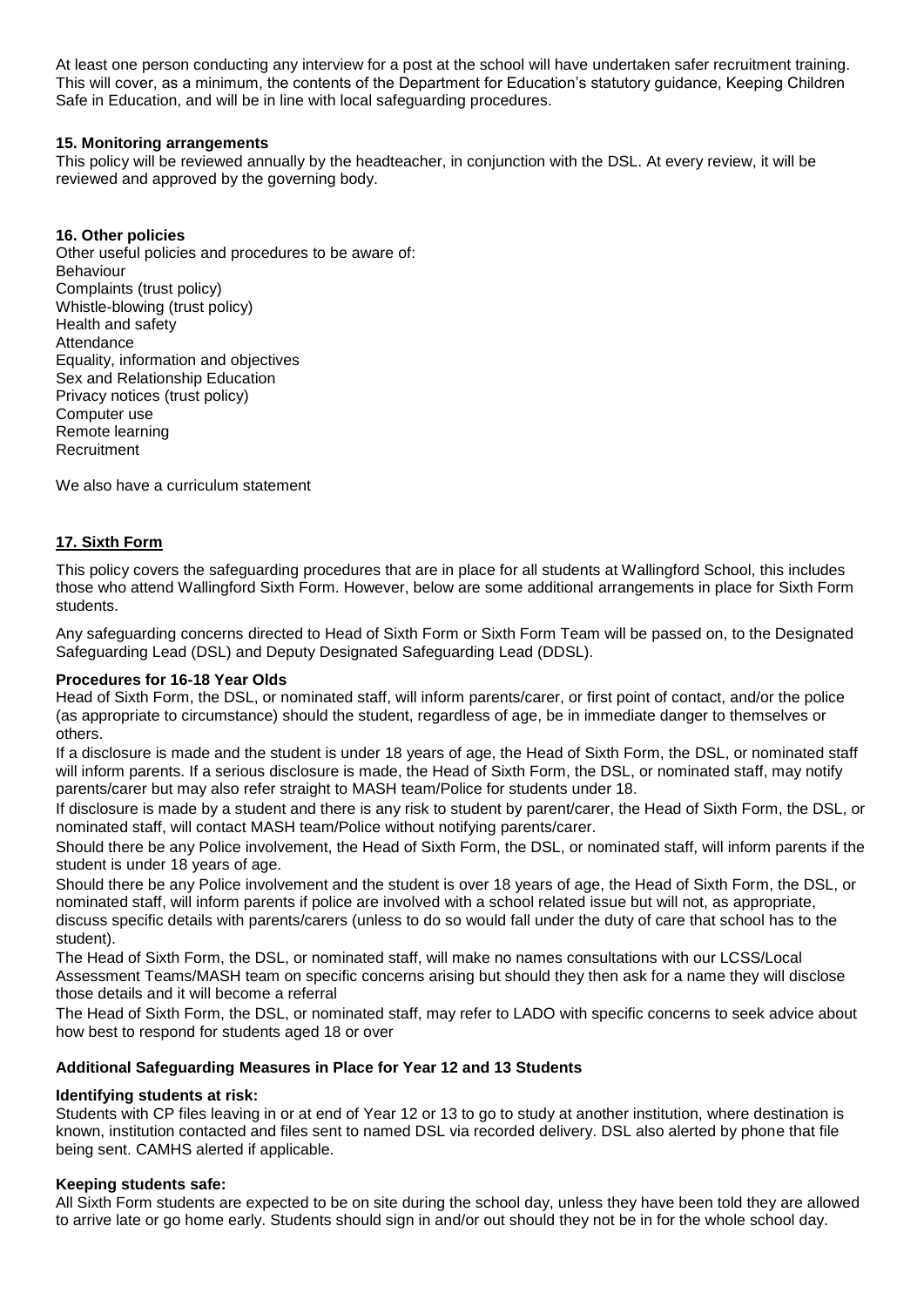At least one person conducting any interview for a post at the school will have undertaken safer recruitment training. This will cover, as a minimum, the contents of the Department for Education's statutory guidance, Keeping Children Safe in Education, and will be in line with local safeguarding procedures.

## **15. Monitoring arrangements**

This policy will be reviewed annually by the headteacher, in conjunction with the DSL. At every review, it will be reviewed and approved by the governing body.

#### **16. Other policies**

Other useful policies and procedures to be aware of: Behaviour Complaints (trust policy) Whistle-blowing (trust policy) Health and safety Attendance Equality, information and objectives Sex and Relationship Education Privacy notices (trust policy) Computer use Remote learning Recruitment

We also have a curriculum statement

# **17. Sixth Form**

This policy covers the safeguarding procedures that are in place for all students at Wallingford School, this includes those who attend Wallingford Sixth Form. However, below are some additional arrangements in place for Sixth Form students.

Any safeguarding concerns directed to Head of Sixth Form or Sixth Form Team will be passed on, to the Designated Safeguarding Lead (DSL) and Deputy Designated Safeguarding Lead (DDSL).

#### **Procedures for 16-18 Year Olds**

Head of Sixth Form, the DSL, or nominated staff, will inform parents/carer, or first point of contact, and/or the police (as appropriate to circumstance) should the student, regardless of age, be in immediate danger to themselves or others.

If a disclosure is made and the student is under 18 years of age, the Head of Sixth Form, the DSL, or nominated staff will inform parents. If a serious disclosure is made, the Head of Sixth Form, the DSL, or nominated staff, may notify parents/carer but may also refer straight to MASH team/Police for students under 18.

If disclosure is made by a student and there is any risk to student by parent/carer, the Head of Sixth Form, the DSL, or nominated staff, will contact MASH team/Police without notifying parents/carer.

Should there be any Police involvement, the Head of Sixth Form, the DSL, or nominated staff, will inform parents if the student is under 18 years of age.

Should there be any Police involvement and the student is over 18 years of age, the Head of Sixth Form, the DSL, or nominated staff, will inform parents if police are involved with a school related issue but will not, as appropriate, discuss specific details with parents/carers (unless to do so would fall under the duty of care that school has to the student).

The Head of Sixth Form, the DSL, or nominated staff, will make no names consultations with our LCSS/Local Assessment Teams/MASH team on specific concerns arising but should they then ask for a name they will disclose those details and it will become a referral

The Head of Sixth Form, the DSL, or nominated staff, may refer to LADO with specific concerns to seek advice about how best to respond for students aged 18 or over

# **Additional Safeguarding Measures in Place for Year 12 and 13 Students**

# **Identifying students at risk:**

Students with CP files leaving in or at end of Year 12 or 13 to go to study at another institution, where destination is known, institution contacted and files sent to named DSL via recorded delivery. DSL also alerted by phone that file being sent. CAMHS alerted if applicable.

#### **Keeping students safe:**

All Sixth Form students are expected to be on site during the school day, unless they have been told they are allowed to arrive late or go home early. Students should sign in and/or out should they not be in for the whole school day.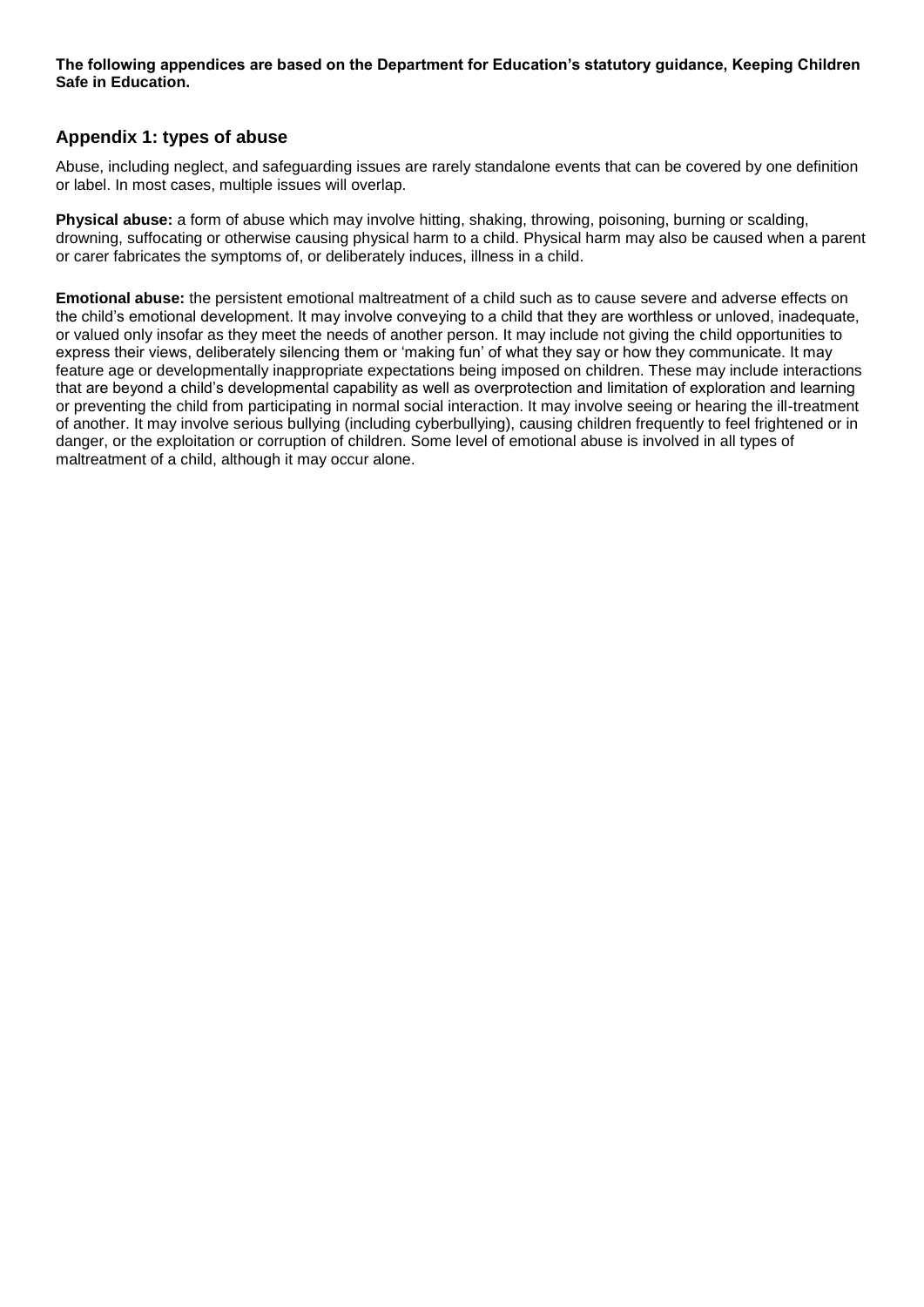**The following appendices are based on the Department for Education's statutory guidance, Keeping Children Safe in Education.** 

# **Appendix 1: types of abuse**

Abuse, including neglect, and safeguarding issues are rarely standalone events that can be covered by one definition or label. In most cases, multiple issues will overlap.

**Physical abuse:** a form of abuse which may involve hitting, shaking, throwing, poisoning, burning or scalding, drowning, suffocating or otherwise causing physical harm to a child. Physical harm may also be caused when a parent or carer fabricates the symptoms of, or deliberately induces, illness in a child.

**Emotional abuse:** the persistent emotional maltreatment of a child such as to cause severe and adverse effects on the child's emotional development. It may involve conveying to a child that they are worthless or unloved, inadequate, or valued only insofar as they meet the needs of another person. It may include not giving the child opportunities to express their views, deliberately silencing them or 'making fun' of what they say or how they communicate. It may feature age or developmentally inappropriate expectations being imposed on children. These may include interactions that are beyond a child's developmental capability as well as overprotection and limitation of exploration and learning or preventing the child from participating in normal social interaction. It may involve seeing or hearing the ill-treatment of another. It may involve serious bullying (including cyberbullying), causing children frequently to feel frightened or in danger, or the exploitation or corruption of children. Some level of emotional abuse is involved in all types of maltreatment of a child, although it may occur alone.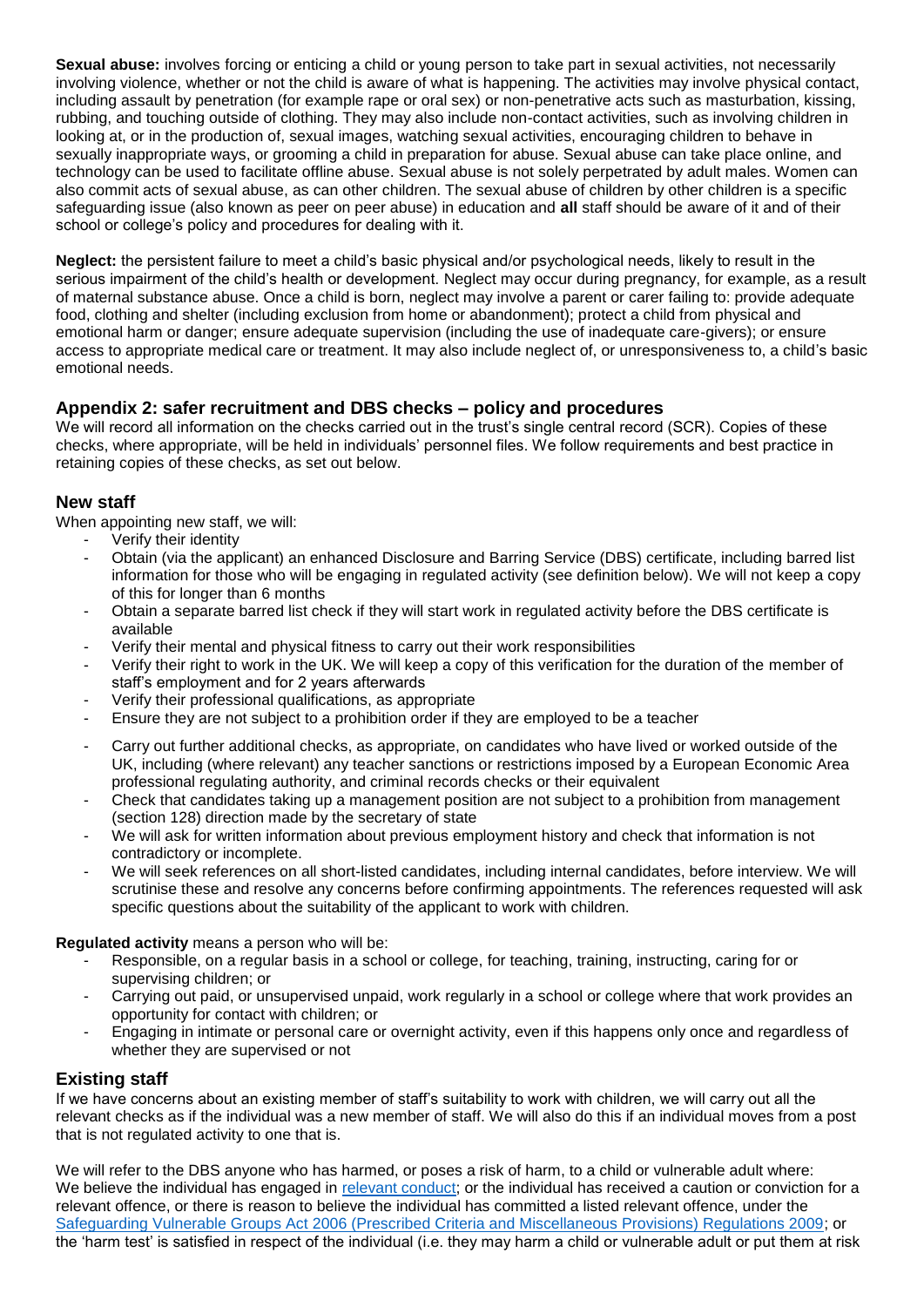**Sexual abuse:** involves forcing or enticing a child or young person to take part in sexual activities, not necessarily involving violence, whether or not the child is aware of what is happening. The activities may involve physical contact, including assault by penetration (for example rape or oral sex) or non-penetrative acts such as masturbation, kissing, rubbing, and touching outside of clothing. They may also include non-contact activities, such as involving children in looking at, or in the production of, sexual images, watching sexual activities, encouraging children to behave in sexually inappropriate ways, or grooming a child in preparation for abuse. Sexual abuse can take place online, and technology can be used to facilitate offline abuse. Sexual abuse is not solely perpetrated by adult males. Women can also commit acts of sexual abuse, as can other children. The sexual abuse of children by other children is a specific safeguarding issue (also known as peer on peer abuse) in education and **all** staff should be aware of it and of their school or college's policy and procedures for dealing with it.

**Neglect:** the persistent failure to meet a child's basic physical and/or psychological needs, likely to result in the serious impairment of the child's health or development. Neglect may occur during pregnancy, for example, as a result of maternal substance abuse. Once a child is born, neglect may involve a parent or carer failing to: provide adequate food, clothing and shelter (including exclusion from home or abandonment); protect a child from physical and emotional harm or danger; ensure adequate supervision (including the use of inadequate care-givers); or ensure access to appropriate medical care or treatment. It may also include neglect of, or unresponsiveness to, a child's basic emotional needs.

# **Appendix 2: safer recruitment and DBS checks – policy and procedures**

We will record all information on the checks carried out in the trust's single central record (SCR). Copies of these checks, where appropriate, will be held in individuals' personnel files. We follow requirements and best practice in retaining copies of these checks, as set out below.

# **New staff**

When appointing new staff, we will:

- Verify their identity
- Obtain (via the applicant) an enhanced Disclosure and Barring Service (DBS) certificate, including barred list information for those who will be engaging in regulated activity (see definition below). We will not keep a copy of this for longer than 6 months
- Obtain a separate barred list check if they will start work in regulated activity before the DBS certificate is available
- Verify their mental and physical fitness to carry out their work responsibilities
- Verify their right to work in the UK. We will keep a copy of this verification for the duration of the member of staff's employment and for 2 years afterwards
- Verify their professional qualifications, as appropriate
- Ensure they are not subject to a prohibition order if they are employed to be a teacher
- Carry out further additional checks, as appropriate, on candidates who have lived or worked outside of the UK, including (where relevant) any teacher sanctions or restrictions imposed by a European Economic Area professional regulating authority, and criminal records checks or their equivalent
- Check that candidates taking up a management position are not subject to a prohibition from management (section 128) direction made by the secretary of state
- We will ask for written information about previous employment history and check that information is not contradictory or incomplete.
- We will seek references on all short-listed candidates, including internal candidates, before interview. We will scrutinise these and resolve any concerns before confirming appointments. The references requested will ask specific questions about the suitability of the applicant to work with children.

**Regulated activity** means a person who will be:

- Responsible, on a regular basis in a school or college, for teaching, training, instructing, caring for or supervising children; or
- Carrying out paid, or unsupervised unpaid, work regularly in a school or college where that work provides an opportunity for contact with children; or
- Engaging in intimate or personal care or overnight activity, even if this happens only once and regardless of whether they are supervised or not

# **Existing staff**

If we have concerns about an existing member of staff's suitability to work with children, we will carry out all the relevant checks as if the individual was a new member of staff. We will also do this if an individual moves from a post that is not regulated activity to one that is.

We will refer to the DBS anyone who has harmed, or poses a risk of harm, to a child or vulnerable adult where: We believe the individual has engaged in [relevant conduct;](https://www.gov.uk/guidance/making-barring-referrals-to-the-dbs#relevant-conduct-in-relation-to-children) or the individual has received a caution or conviction for a relevant offence, or there is reason to believe the individual has committed a listed relevant offence, under the [Safeguarding Vulnerable Groups Act 2006 \(Prescribed Criteria and Miscellaneous Provisions\) Regulations 2009;](https://www.legislation.gov.uk/uksi/2009/37/contents/made) or the 'harm test' is satisfied in respect of the individual (i.e. they may harm a child or vulnerable adult or put them at risk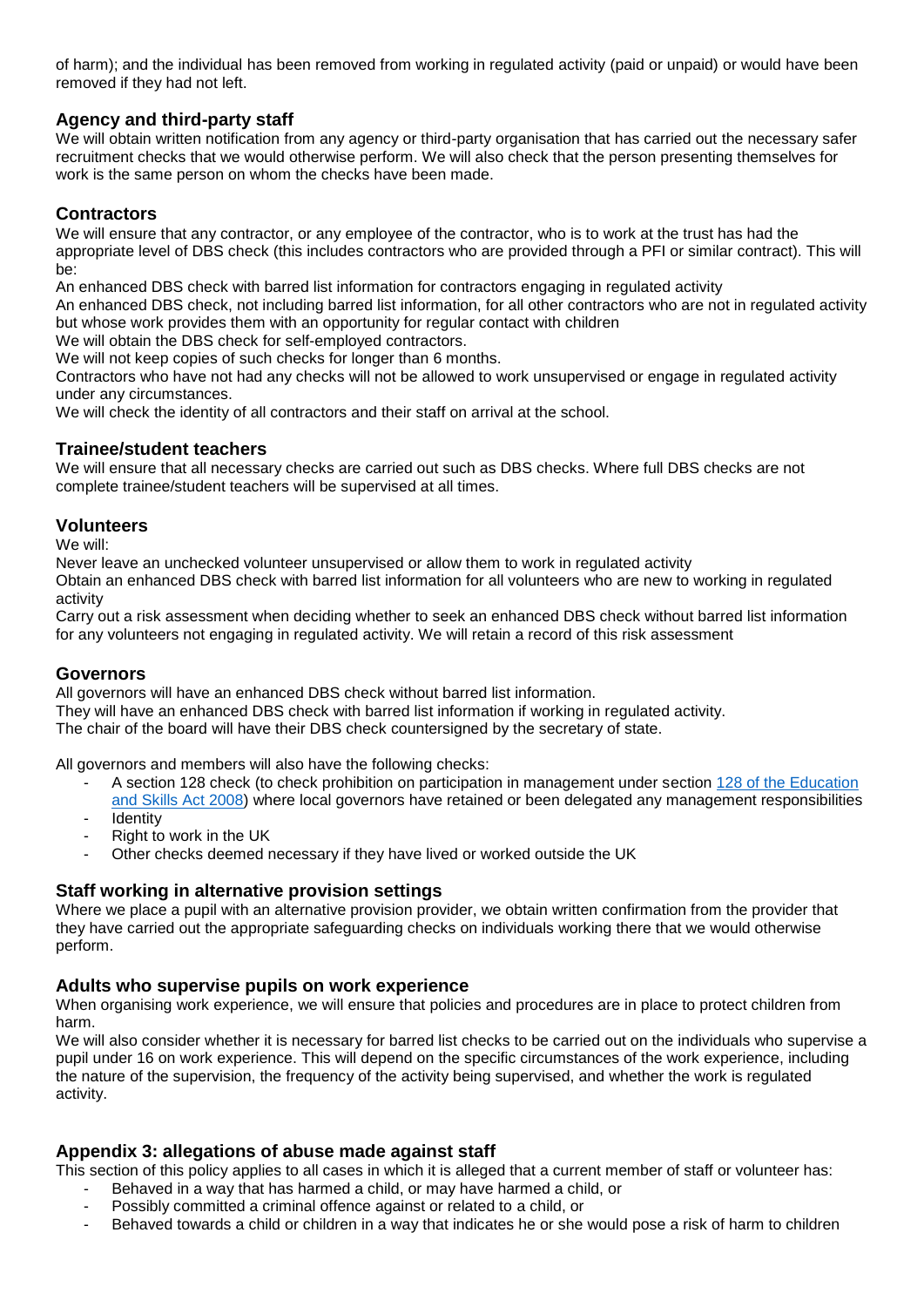of harm); and the individual has been removed from working in regulated activity (paid or unpaid) or would have been removed if they had not left.

# **Agency and third-party staff**

We will obtain written notification from any agency or third-party organisation that has carried out the necessary safer recruitment checks that we would otherwise perform. We will also check that the person presenting themselves for work is the same person on whom the checks have been made.

# **Contractors**

We will ensure that any contractor, or any employee of the contractor, who is to work at the trust has had the appropriate level of DBS check (this includes contractors who are provided through a PFI or similar contract). This will be:

An enhanced DBS check with barred list information for contractors engaging in regulated activity

An enhanced DBS check, not including barred list information, for all other contractors who are not in regulated activity but whose work provides them with an opportunity for regular contact with children

We will obtain the DBS check for self-employed contractors.

We will not keep copies of such checks for longer than 6 months.

Contractors who have not had any checks will not be allowed to work unsupervised or engage in regulated activity under any circumstances.

We will check the identity of all contractors and their staff on arrival at the school.

# **Trainee/student teachers**

We will ensure that all necessary checks are carried out such as DBS checks. Where full DBS checks are not complete trainee/student teachers will be supervised at all times.

# **Volunteers**

We will:

Never leave an unchecked volunteer unsupervised or allow them to work in regulated activity

Obtain an enhanced DBS check with barred list information for all volunteers who are new to working in regulated activity

Carry out a risk assessment when deciding whether to seek an enhanced DBS check without barred list information for any volunteers not engaging in regulated activity. We will retain a record of this risk assessment

# **Governors**

All governors will have an enhanced DBS check without barred list information.

They will have an enhanced DBS check with barred list information if working in regulated activity.

The chair of the board will have their DBS check countersigned by the secretary of state.

All governors and members will also have the following checks:

- A section 128 check (to check prohibition on participation in management under section [128 of the Education](https://www.legislation.gov.uk/ukpga/2008/25/section/128)  [and Skills Act 2008\)](https://www.legislation.gov.uk/ukpga/2008/25/section/128) where local governors have retained or been delegated any management responsibilities
- **Identity**
- Right to work in the UK
- Other checks deemed necessary if they have lived or worked outside the UK

# **Staff working in alternative provision settings**

Where we place a pupil with an alternative provision provider, we obtain written confirmation from the provider that they have carried out the appropriate safeguarding checks on individuals working there that we would otherwise perform.

# **Adults who supervise pupils on work experience**

When organising work experience, we will ensure that policies and procedures are in place to protect children from harm.

We will also consider whether it is necessary for barred list checks to be carried out on the individuals who supervise a pupil under 16 on work experience. This will depend on the specific circumstances of the work experience, including the nature of the supervision, the frequency of the activity being supervised, and whether the work is regulated activity.

# **Appendix 3: allegations of abuse made against staff**

This section of this policy applies to all cases in which it is alleged that a current member of staff or volunteer has:

- Behaved in a way that has harmed a child, or may have harmed a child, or
- Possibly committed a criminal offence against or related to a child, or
- Behaved towards a child or children in a way that indicates he or she would pose a risk of harm to children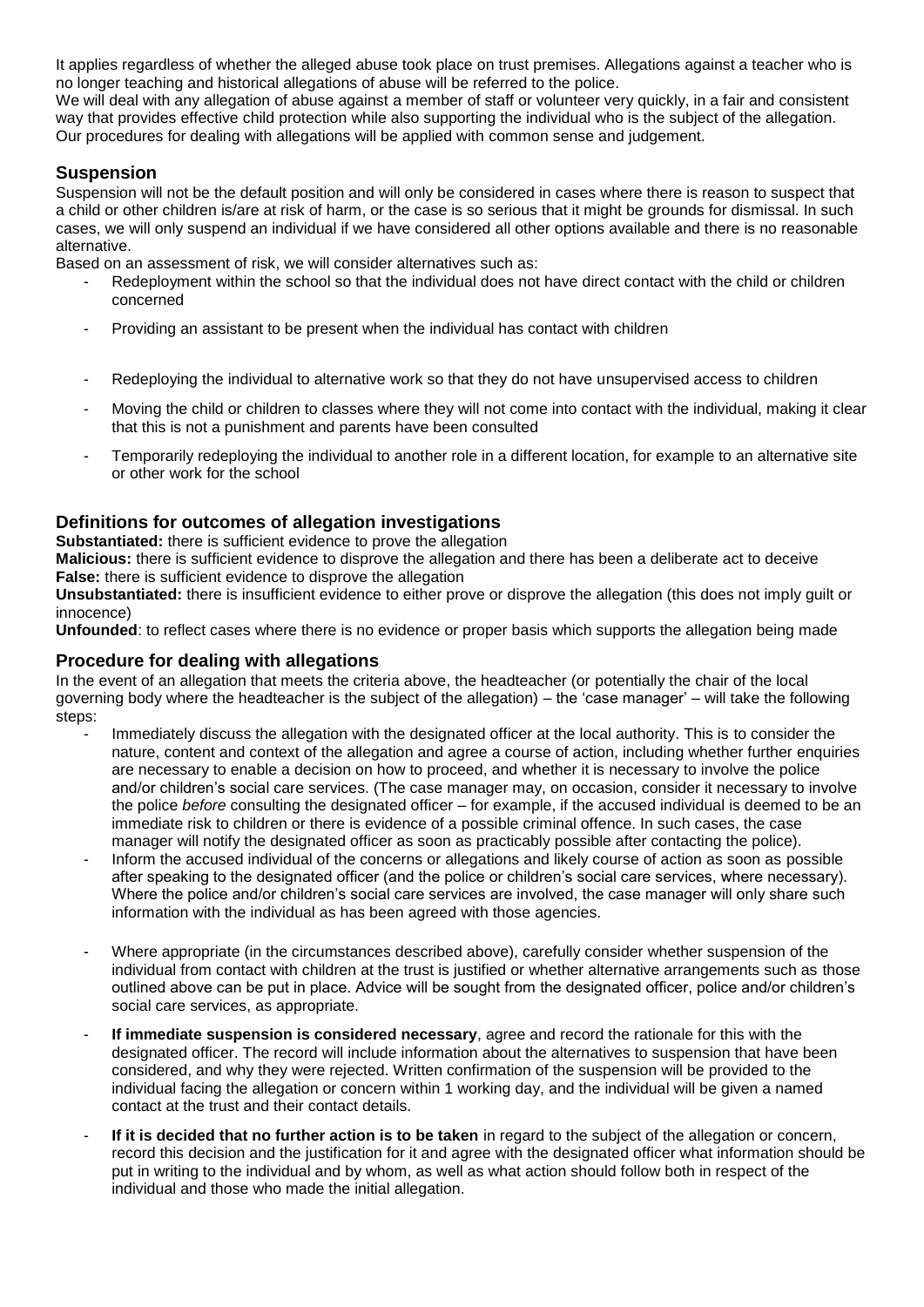It applies regardless of whether the alleged abuse took place on trust premises. Allegations against a teacher who is no longer teaching and historical allegations of abuse will be referred to the police.

We will deal with any allegation of abuse against a member of staff or volunteer very quickly, in a fair and consistent way that provides effective child protection while also supporting the individual who is the subject of the allegation. Our procedures for dealing with allegations will be applied with common sense and judgement.

# **Suspension**

Suspension will not be the default position and will only be considered in cases where there is reason to suspect that a child or other children is/are at risk of harm, or the case is so serious that it might be grounds for dismissal. In such cases, we will only suspend an individual if we have considered all other options available and there is no reasonable alternative.

Based on an assessment of risk, we will consider alternatives such as:

- Redeployment within the school so that the individual does not have direct contact with the child or children concerned
- Providing an assistant to be present when the individual has contact with children
- Redeploying the individual to alternative work so that they do not have unsupervised access to children
- Moving the child or children to classes where they will not come into contact with the individual, making it clear that this is not a punishment and parents have been consulted
- Temporarily redeploying the individual to another role in a different location, for example to an alternative site or other work for the school

# **Definitions for outcomes of allegation investigations**

**Substantiated:** there is sufficient evidence to prove the allegation

**Malicious:** there is sufficient evidence to disprove the allegation and there has been a deliberate act to deceive **False:** there is sufficient evidence to disprove the allegation

**Unsubstantiated:** there is insufficient evidence to either prove or disprove the allegation (this does not imply guilt or innocence)

**Unfounded**: to reflect cases where there is no evidence or proper basis which supports the allegation being made

# **Procedure for dealing with allegations**

In the event of an allegation that meets the criteria above, the headteacher (or potentially the chair of the local governing body where the headteacher is the subject of the allegation) – the 'case manager' – will take the following steps:

- Immediately discuss the allegation with the designated officer at the local authority. This is to consider the nature, content and context of the allegation and agree a course of action, including whether further enquiries are necessary to enable a decision on how to proceed, and whether it is necessary to involve the police and/or children's social care services. (The case manager may, on occasion, consider it necessary to involve the police *before* consulting the designated officer – for example, if the accused individual is deemed to be an immediate risk to children or there is evidence of a possible criminal offence. In such cases, the case manager will notify the designated officer as soon as practicably possible after contacting the police).
- Inform the accused individual of the concerns or allegations and likely course of action as soon as possible after speaking to the designated officer (and the police or children's social care services, where necessary). Where the police and/or children's social care services are involved, the case manager will only share such information with the individual as has been agreed with those agencies.
- Where appropriate (in the circumstances described above), carefully consider whether suspension of the individual from contact with children at the trust is justified or whether alternative arrangements such as those outlined above can be put in place. Advice will be sought from the designated officer, police and/or children's social care services, as appropriate.
- **If immediate suspension is considered necessary**, agree and record the rationale for this with the designated officer. The record will include information about the alternatives to suspension that have been considered, and why they were rejected. Written confirmation of the suspension will be provided to the individual facing the allegation or concern within 1 working day, and the individual will be given a named contact at the trust and their contact details.
- **If it is decided that no further action is to be taken** in regard to the subject of the allegation or concern, record this decision and the justification for it and agree with the designated officer what information should be put in writing to the individual and by whom, as well as what action should follow both in respect of the individual and those who made the initial allegation.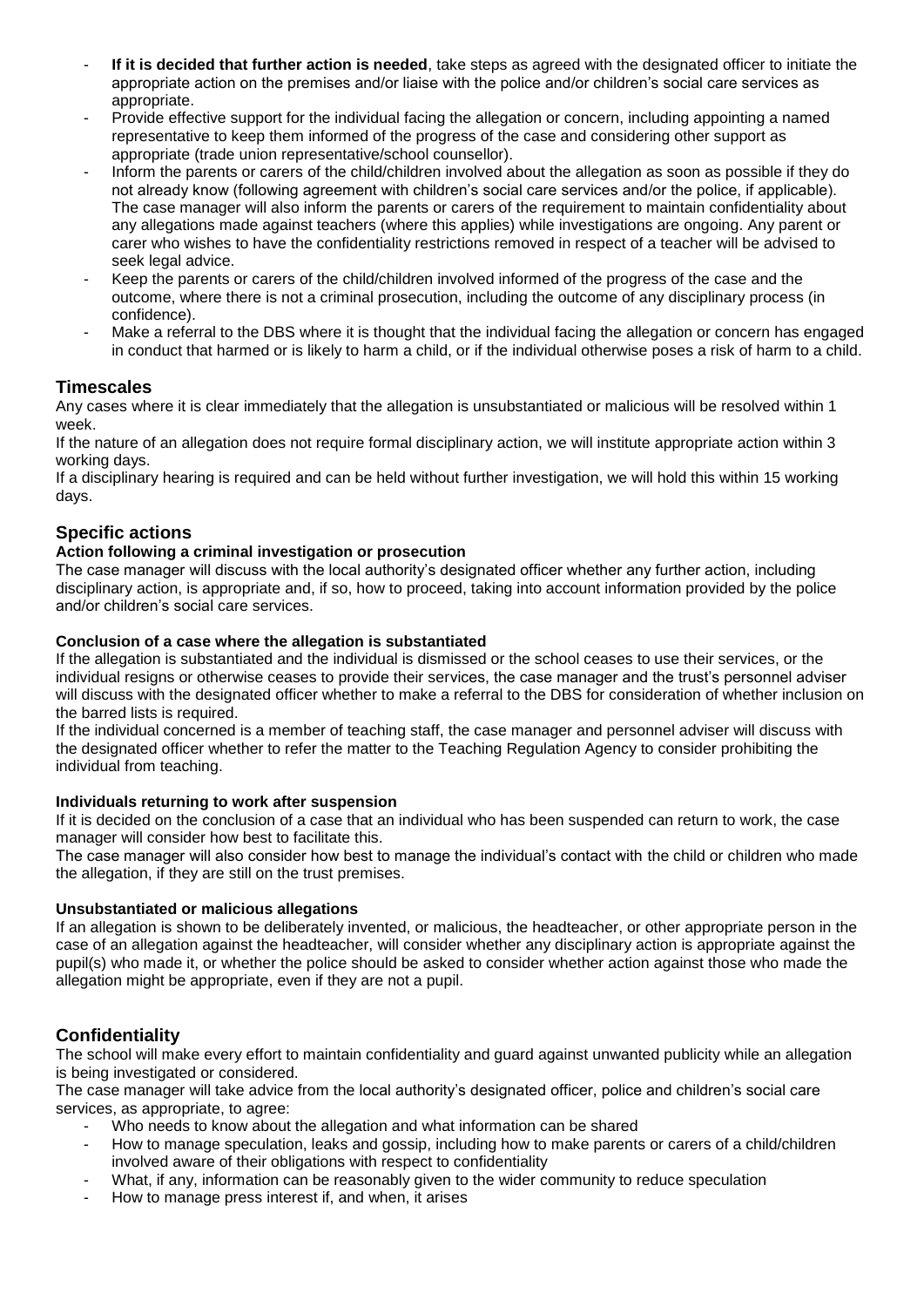- **If it is decided that further action is needed**, take steps as agreed with the designated officer to initiate the appropriate action on the premises and/or liaise with the police and/or children's social care services as appropriate.
- Provide effective support for the individual facing the allegation or concern, including appointing a named representative to keep them informed of the progress of the case and considering other support as appropriate (trade union representative/school counsellor).
- Inform the parents or carers of the child/children involved about the allegation as soon as possible if they do not already know (following agreement with children's social care services and/or the police, if applicable). The case manager will also inform the parents or carers of the requirement to maintain confidentiality about any allegations made against teachers (where this applies) while investigations are ongoing. Any parent or carer who wishes to have the confidentiality restrictions removed in respect of a teacher will be advised to seek legal advice.
- Keep the parents or carers of the child/children involved informed of the progress of the case and the outcome, where there is not a criminal prosecution, including the outcome of any disciplinary process (in confidence).
- Make a referral to the DBS where it is thought that the individual facing the allegation or concern has engaged in conduct that harmed or is likely to harm a child, or if the individual otherwise poses a risk of harm to a child.

# **Timescales**

Any cases where it is clear immediately that the allegation is unsubstantiated or malicious will be resolved within 1 week.

If the nature of an allegation does not require formal disciplinary action, we will institute appropriate action within 3 working days.

If a disciplinary hearing is required and can be held without further investigation, we will hold this within 15 working days.

# **Specific actions**

#### **Action following a criminal investigation or prosecution**

The case manager will discuss with the local authority's designated officer whether any further action, including disciplinary action, is appropriate and, if so, how to proceed, taking into account information provided by the police and/or children's social care services.

#### **Conclusion of a case where the allegation is substantiated**

If the allegation is substantiated and the individual is dismissed or the school ceases to use their services, or the individual resigns or otherwise ceases to provide their services, the case manager and the trust's personnel adviser will discuss with the designated officer whether to make a referral to the DBS for consideration of whether inclusion on the barred lists is required.

If the individual concerned is a member of teaching staff, the case manager and personnel adviser will discuss with the designated officer whether to refer the matter to the Teaching Regulation Agency to consider prohibiting the individual from teaching.

#### **Individuals returning to work after suspension**

If it is decided on the conclusion of a case that an individual who has been suspended can return to work, the case manager will consider how best to facilitate this.

The case manager will also consider how best to manage the individual's contact with the child or children who made the allegation, if they are still on the trust premises.

#### **Unsubstantiated or malicious allegations**

If an allegation is shown to be deliberately invented, or malicious, the headteacher, or other appropriate person in the case of an allegation against the headteacher, will consider whether any disciplinary action is appropriate against the pupil(s) who made it, or whether the police should be asked to consider whether action against those who made the allegation might be appropriate, even if they are not a pupil.

# **Confidentiality**

The school will make every effort to maintain confidentiality and guard against unwanted publicity while an allegation is being investigated or considered.

The case manager will take advice from the local authority's designated officer, police and children's social care services, as appropriate, to agree:

- Who needs to know about the allegation and what information can be shared
- How to manage speculation, leaks and gossip, including how to make parents or carers of a child/children involved aware of their obligations with respect to confidentiality
- What, if any, information can be reasonably given to the wider community to reduce speculation
- How to manage press interest if, and when, it arises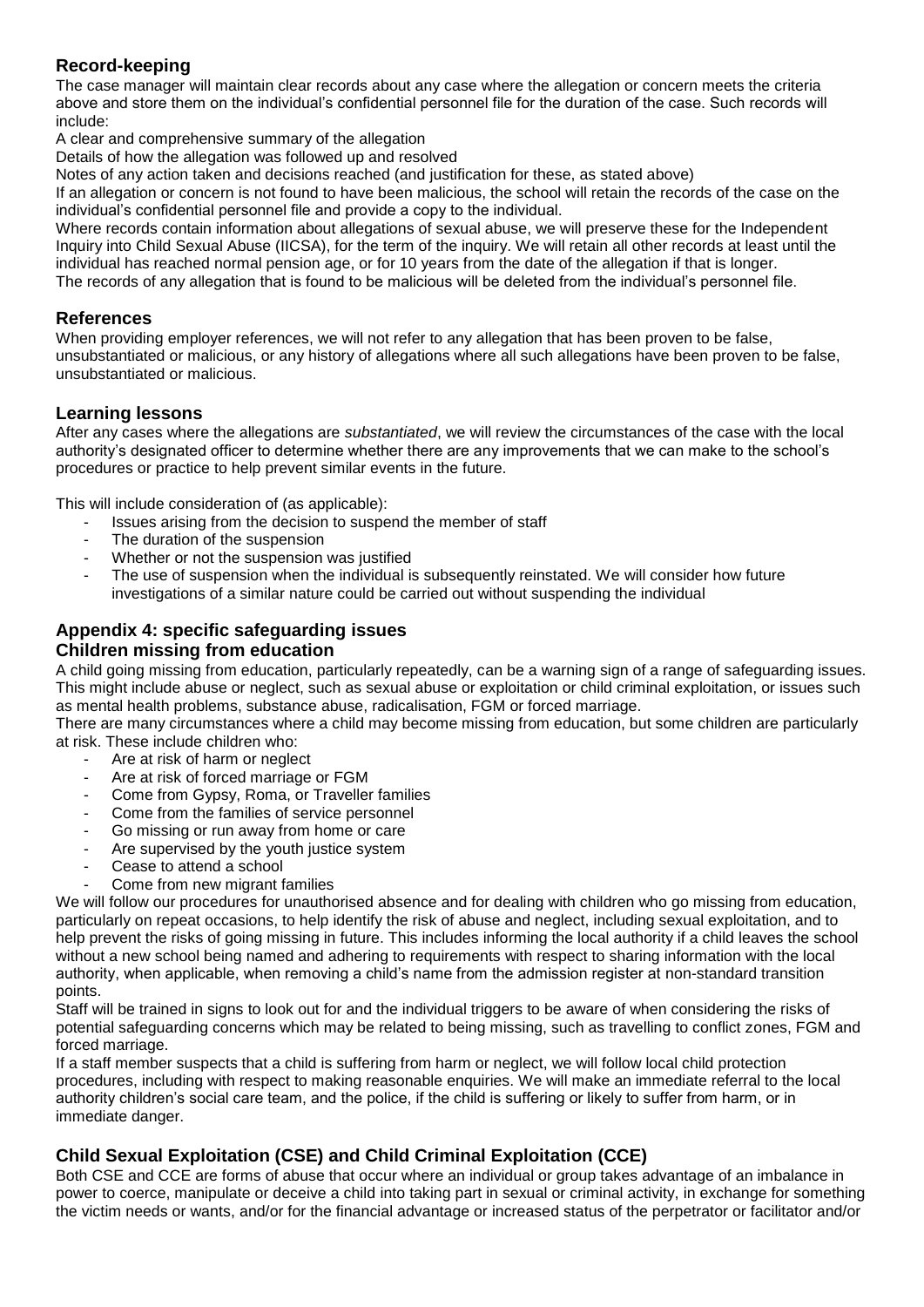# **Record-keeping**

The case manager will maintain clear records about any case where the allegation or concern meets the criteria above and store them on the individual's confidential personnel file for the duration of the case. Such records will include:

A clear and comprehensive summary of the allegation

Details of how the allegation was followed up and resolved

Notes of any action taken and decisions reached (and justification for these, as stated above)

If an allegation or concern is not found to have been malicious, the school will retain the records of the case on the individual's confidential personnel file and provide a copy to the individual.

Where records contain information about allegations of sexual abuse, we will preserve these for the Independent Inquiry into Child Sexual Abuse (IICSA), for the term of the inquiry. We will retain all other records at least until the individual has reached normal pension age, or for 10 years from the date of the allegation if that is longer. The records of any allegation that is found to be malicious will be deleted from the individual's personnel file.

# **References**

When providing employer references, we will not refer to any allegation that has been proven to be false, unsubstantiated or malicious, or any history of allegations where all such allegations have been proven to be false, unsubstantiated or malicious.

# **Learning lessons**

After any cases where the allegations are *substantiated*, we will review the circumstances of the case with the local authority's designated officer to determine whether there are any improvements that we can make to the school's procedures or practice to help prevent similar events in the future.

This will include consideration of (as applicable):

- Issues arising from the decision to suspend the member of staff
- The duration of the suspension
- Whether or not the suspension was justified
- The use of suspension when the individual is subsequently reinstated. We will consider how future investigations of a similar nature could be carried out without suspending the individual

# **Appendix 4: specific safeguarding issues**

# **Children missing from education**

A child going missing from education, particularly repeatedly, can be a warning sign of a range of safeguarding issues. This might include abuse or neglect, such as sexual abuse or exploitation or child criminal exploitation, or issues such as mental health problems, substance abuse, radicalisation, FGM or forced marriage.

There are many circumstances where a child may become missing from education, but some children are particularly at risk. These include children who:

- Are at risk of harm or neglect
- Are at risk of forced marriage or FGM
- Come from Gypsy, Roma, or Traveller families
- Come from the families of service personnel
- Go missing or run away from home or care
- Are supervised by the youth justice system
- Cease to attend a school
- Come from new migrant families

We will follow our procedures for unauthorised absence and for dealing with children who go missing from education, particularly on repeat occasions, to help identify the risk of abuse and neglect, including sexual exploitation, and to help prevent the risks of going missing in future. This includes informing the local authority if a child leaves the school without a new school being named and adhering to requirements with respect to sharing information with the local authority, when applicable, when removing a child's name from the admission register at non-standard transition points.

Staff will be trained in signs to look out for and the individual triggers to be aware of when considering the risks of potential safeguarding concerns which may be related to being missing, such as travelling to conflict zones, FGM and forced marriage.

If a staff member suspects that a child is suffering from harm or neglect, we will follow local child protection procedures, including with respect to making reasonable enquiries. We will make an immediate referral to the local authority children's social care team, and the police, if the child is suffering or likely to suffer from harm, or in immediate danger.

# **Child Sexual Exploitation (CSE) and Child Criminal Exploitation (CCE)**

Both CSE and CCE are forms of abuse that occur where an individual or group takes advantage of an imbalance in power to coerce, manipulate or deceive a child into taking part in sexual or criminal activity, in exchange for something the victim needs or wants, and/or for the financial advantage or increased status of the perpetrator or facilitator and/or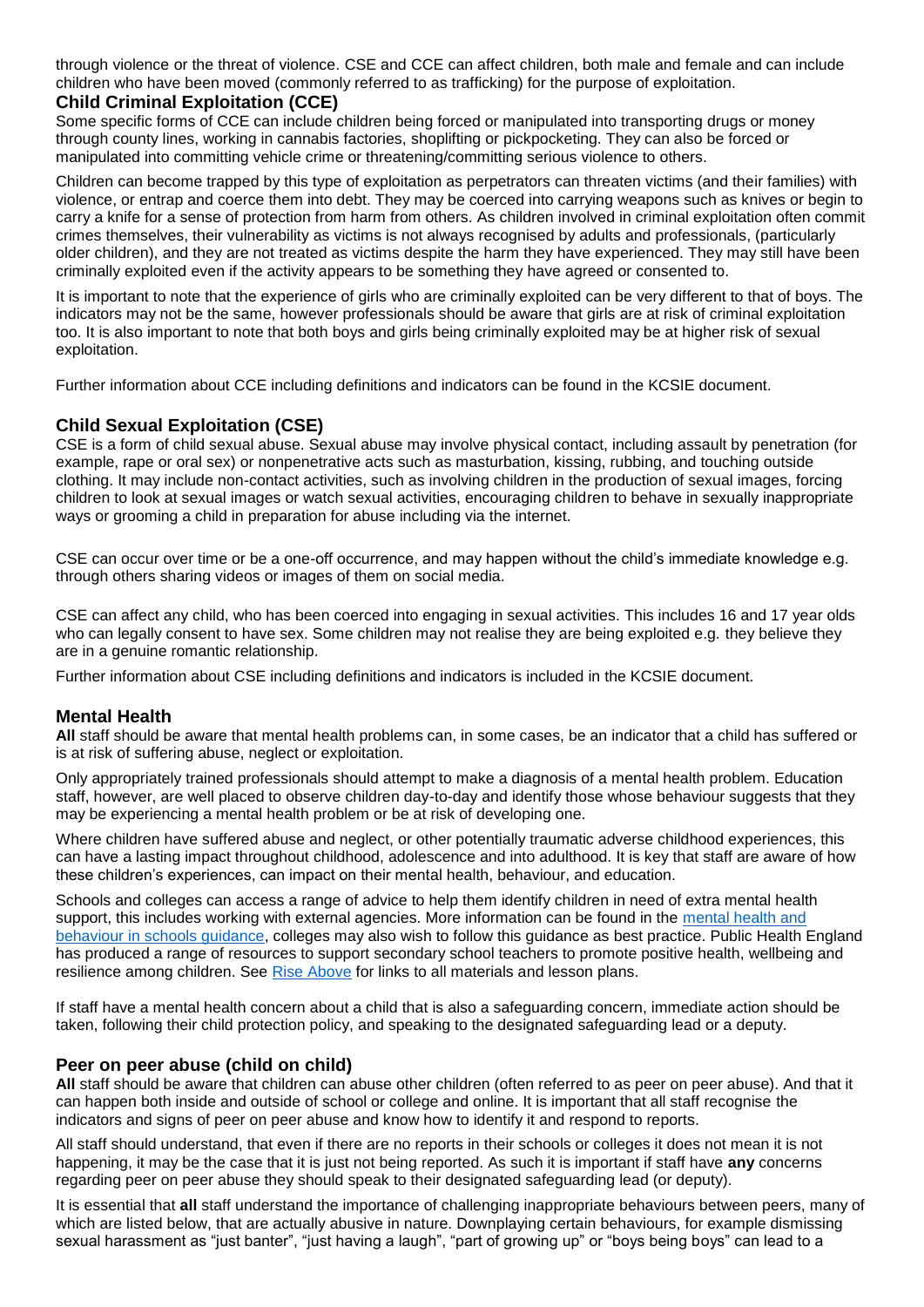through violence or the threat of violence. CSE and CCE can affect children, both male and female and can include children who have been moved (commonly referred to as trafficking) for the purpose of exploitation.

# **Child Criminal Exploitation (CCE)**

Some specific forms of CCE can include children being forced or manipulated into transporting drugs or money through county lines, working in cannabis factories, shoplifting or pickpocketing. They can also be forced or manipulated into committing vehicle crime or threatening/committing serious violence to others.

Children can become trapped by this type of exploitation as perpetrators can threaten victims (and their families) with violence, or entrap and coerce them into debt. They may be coerced into carrying weapons such as knives or begin to carry a knife for a sense of protection from harm from others. As children involved in criminal exploitation often commit crimes themselves, their vulnerability as victims is not always recognised by adults and professionals, (particularly older children), and they are not treated as victims despite the harm they have experienced. They may still have been criminally exploited even if the activity appears to be something they have agreed or consented to.

It is important to note that the experience of girls who are criminally exploited can be very different to that of boys. The indicators may not be the same, however professionals should be aware that girls are at risk of criminal exploitation too. It is also important to note that both boys and girls being criminally exploited may be at higher risk of sexual exploitation.

Further information about CCE including definitions and indicators can be found in the KCSIE document.

# **Child Sexual Exploitation (CSE)**

CSE is a form of child sexual abuse. Sexual abuse may involve physical contact, including assault by penetration (for example, rape or oral sex) or nonpenetrative acts such as masturbation, kissing, rubbing, and touching outside clothing. It may include non-contact activities, such as involving children in the production of sexual images, forcing children to look at sexual images or watch sexual activities, encouraging children to behave in sexually inappropriate ways or grooming a child in preparation for abuse including via the internet.

CSE can occur over time or be a one-off occurrence, and may happen without the child's immediate knowledge e.g. through others sharing videos or images of them on social media.

CSE can affect any child, who has been coerced into engaging in sexual activities. This includes 16 and 17 year olds who can legally consent to have sex. Some children may not realise they are being exploited e.g. they believe they are in a genuine romantic relationship.

Further information about CSE including definitions and indicators is included in the KCSIE document.

# **Mental Health**

**All** staff should be aware that mental health problems can, in some cases, be an indicator that a child has suffered or is at risk of suffering abuse, neglect or exploitation.

Only appropriately trained professionals should attempt to make a diagnosis of a mental health problem. Education staff, however, are well placed to observe children day-to-day and identify those whose behaviour suggests that they may be experiencing a mental health problem or be at risk of developing one.

Where children have suffered abuse and neglect, or other potentially traumatic adverse childhood experiences, this can have a lasting impact throughout childhood, adolescence and into adulthood. It is key that staff are aware of how these children's experiences, can impact on their mental health, behaviour, and education.

Schools and colleges can access a range of advice to help them identify children in need of extra mental health support, this includes working with external agencies. More information can be found in the mental health and [behaviour in schools guidance,](https://www.gov.uk/government/publications/mental-health-and-behaviour-in-schools--2) colleges may also wish to follow this guidance as best practice. Public Health England has produced a range of resources to support secondary school teachers to promote positive health, wellbeing and resilience among children. See [Rise Above](https://campaignresources.phe.gov.uk/schools/topics/mental-wellbeing/overview) for links to all materials and lesson plans.

If staff have a mental health concern about a child that is also a safeguarding concern, immediate action should be taken, following their child protection policy, and speaking to the designated safeguarding lead or a deputy.

# **Peer on peer abuse (child on child)**

**All** staff should be aware that children can abuse other children (often referred to as peer on peer abuse). And that it can happen both inside and outside of school or college and online. It is important that all staff recognise the indicators and signs of peer on peer abuse and know how to identify it and respond to reports.

All staff should understand, that even if there are no reports in their schools or colleges it does not mean it is not happening, it may be the case that it is just not being reported. As such it is important if staff have **any** concerns regarding peer on peer abuse they should speak to their designated safeguarding lead (or deputy).

It is essential that **all** staff understand the importance of challenging inappropriate behaviours between peers, many of which are listed below, that are actually abusive in nature. Downplaying certain behaviours, for example dismissing sexual harassment as "just banter", "just having a laugh", "part of growing up" or "boys being boys" can lead to a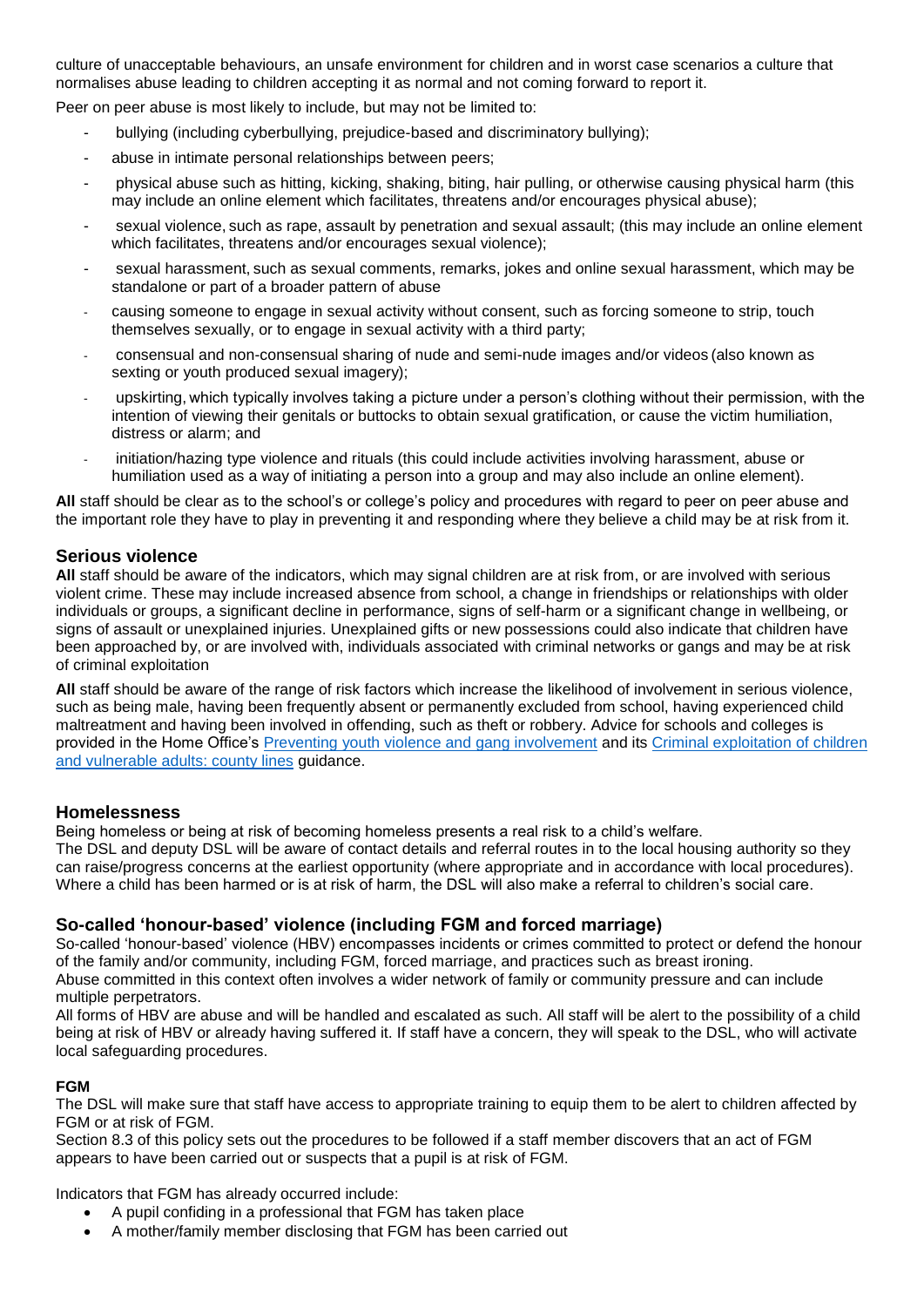culture of unacceptable behaviours, an unsafe environment for children and in worst case scenarios a culture that normalises abuse leading to children accepting it as normal and not coming forward to report it.

Peer on peer abuse is most likely to include, but may not be limited to:

- bullying (including cyberbullying, prejudice-based and discriminatory bullying);
- abuse in intimate personal relationships between peers;
- physical abuse such as hitting, kicking, shaking, biting, hair pulling, or otherwise causing physical harm (this may include an online element which facilitates, threatens and/or encourages physical abuse);
- sexual violence, such as rape, assault by penetration and sexual assault; (this may include an online element which facilitates, threatens and/or encourages sexual violence);
- sexual harassment, such as sexual comments, remarks, jokes and online sexual harassment, which may be standalone or part of a broader pattern of abuse
- causing someone to engage in sexual activity without consent, such as forcing someone to strip, touch themselves sexually, or to engage in sexual activity with a third party;
- consensual and non-consensual sharing of nude and semi-nude images and/or videos (also known as sexting or youth produced sexual imagery);
- upskirting, which typically involves taking a picture under a person's clothing without their permission, with the intention of viewing their genitals or buttocks to obtain sexual gratification, or cause the victim humiliation, distress or alarm; and
- initiation/hazing type violence and rituals (this could include activities involving harassment, abuse or humiliation used as a way of initiating a person into a group and may also include an online element).

**All** staff should be clear as to the school's or college's policy and procedures with regard to peer on peer abuse and the important role they have to play in preventing it and responding where they believe a child may be at risk from it.

# **Serious violence**

**All** staff should be aware of the indicators, which may signal children are at risk from, or are involved with serious violent crime. These may include increased absence from school, a change in friendships or relationships with older individuals or groups, a significant decline in performance, signs of self-harm or a significant change in wellbeing, or signs of assault or unexplained injuries. Unexplained gifts or new possessions could also indicate that children have been approached by, or are involved with, individuals associated with criminal networks or gangs and may be at risk of criminal exploitation

**All** staff should be aware of the range of risk factors which increase the likelihood of involvement in serious violence, such as being male, having been frequently absent or permanently excluded from school, having experienced child maltreatment and having been involved in offending, such as theft or robbery. Advice for schools and colleges is provided in the Home Office's [Preventing youth violence and gang involvement](https://www.gov.uk/government/publications/advice-to-schools-and-colleges-on-gangs-and-youth-violence) and its Criminal exploitation of children [and vulnerable adults: county lines](https://www.gov.uk/government/publications/criminal-exploitation-of-children-and-vulnerable-adults-county-lines) guidance.

# **Homelessness**

Being homeless or being at risk of becoming homeless presents a real risk to a child's welfare.

The DSL and deputy DSL will be aware of contact details and referral routes in to the local housing authority so they can raise/progress concerns at the earliest opportunity (where appropriate and in accordance with local procedures). Where a child has been harmed or is at risk of harm, the DSL will also make a referral to children's social care.

# **So-called 'honour-based' violence (including FGM and forced marriage)**

So-called 'honour-based' violence (HBV) encompasses incidents or crimes committed to protect or defend the honour of the family and/or community, including FGM, forced marriage, and practices such as breast ironing. Abuse committed in this context often involves a wider network of family or community pressure and can include multiple perpetrators.

All forms of HBV are abuse and will be handled and escalated as such. All staff will be alert to the possibility of a child being at risk of HBV or already having suffered it. If staff have a concern, they will speak to the DSL, who will activate local safeguarding procedures.

# **FGM**

The DSL will make sure that staff have access to appropriate training to equip them to be alert to children affected by FGM or at risk of FGM.

Section 8.3 of this policy sets out the procedures to be followed if a staff member discovers that an act of FGM appears to have been carried out or suspects that a pupil is at risk of FGM.

Indicators that FGM has already occurred include:

- A pupil confiding in a professional that FGM has taken place
- A mother/family member disclosing that FGM has been carried out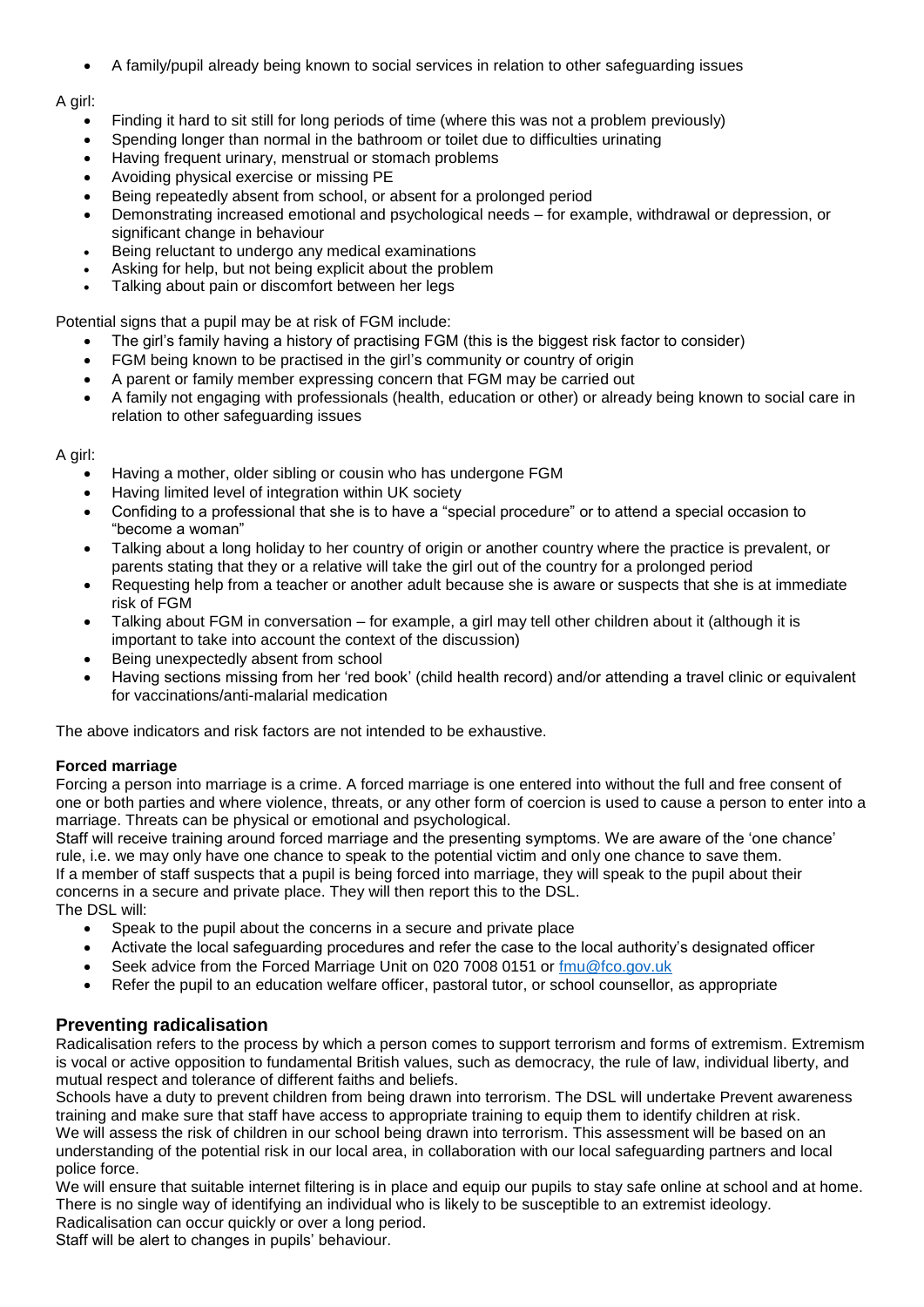A family/pupil already being known to social services in relation to other safeguarding issues

# A girl:

- Finding it hard to sit still for long periods of time (where this was not a problem previously)
- Spending longer than normal in the bathroom or toilet due to difficulties urinating
- Having frequent urinary, menstrual or stomach problems
- Avoiding physical exercise or missing PE
- Being repeatedly absent from school, or absent for a prolonged period
- Demonstrating increased emotional and psychological needs for example, withdrawal or depression, or significant change in behaviour
- Being reluctant to undergo any medical examinations
- Asking for help, but not being explicit about the problem
- Talking about pain or discomfort between her legs

Potential signs that a pupil may be at risk of FGM include:

- The girl's family having a history of practising FGM (this is the biggest risk factor to consider)
- FGM being known to be practised in the girl's community or country of origin
- A parent or family member expressing concern that FGM may be carried out
- A family not engaging with professionals (health, education or other) or already being known to social care in relation to other safeguarding issues

# A girl:

- Having a mother, older sibling or cousin who has undergone FGM
- Having limited level of integration within UK society
- Confiding to a professional that she is to have a "special procedure" or to attend a special occasion to "become a woman"
- Talking about a long holiday to her country of origin or another country where the practice is prevalent, or parents stating that they or a relative will take the girl out of the country for a prolonged period
- Requesting help from a teacher or another adult because she is aware or suspects that she is at immediate risk of FGM
- Talking about FGM in conversation for example, a girl may tell other children about it (although it is important to take into account the context of the discussion)
- Being unexpectedly absent from school
- Having sections missing from her 'red book' (child health record) and/or attending a travel clinic or equivalent for vaccinations/anti-malarial medication

The above indicators and risk factors are not intended to be exhaustive.

# **Forced marriage**

Forcing a person into marriage is a crime. A forced marriage is one entered into without the full and free consent of one or both parties and where violence, threats, or any other form of coercion is used to cause a person to enter into a marriage. Threats can be physical or emotional and psychological.

Staff will receive training around forced marriage and the presenting symptoms. We are aware of the 'one chance' rule, i.e. we may only have one chance to speak to the potential victim and only one chance to save them. If a member of staff suspects that a pupil is being forced into marriage, they will speak to the pupil about their concerns in a secure and private place. They will then report this to the DSL.

The DSL will:

- Speak to the pupil about the concerns in a secure and private place
- Activate the local safeguarding procedures and refer the case to the local authority's designated officer
- Seek advice from the Forced Marriage Unit on 020 7008 0151 or [fmu@fco.gov.uk](mailto:fmu@fco.gov.uk)
- Refer the pupil to an education welfare officer, pastoral tutor, or school counsellor, as appropriate

# **Preventing radicalisation**

Radicalisation refers to the process by which a person comes to support terrorism and forms of extremism. Extremism is vocal or active opposition to fundamental British values, such as democracy, the rule of law, individual liberty, and mutual respect and tolerance of different faiths and beliefs.

Schools have a duty to prevent children from being drawn into terrorism. The DSL will undertake Prevent awareness training and make sure that staff have access to appropriate training to equip them to identify children at risk. We will assess the risk of children in our school being drawn into terrorism. This assessment will be based on an understanding of the potential risk in our local area, in collaboration with our local safeguarding partners and local police force.

We will ensure that suitable internet filtering is in place and equip our pupils to stay safe online at school and at home. There is no single way of identifying an individual who is likely to be susceptible to an extremist ideology. Radicalisation can occur quickly or over a long period.

Staff will be alert to changes in pupils' behaviour.